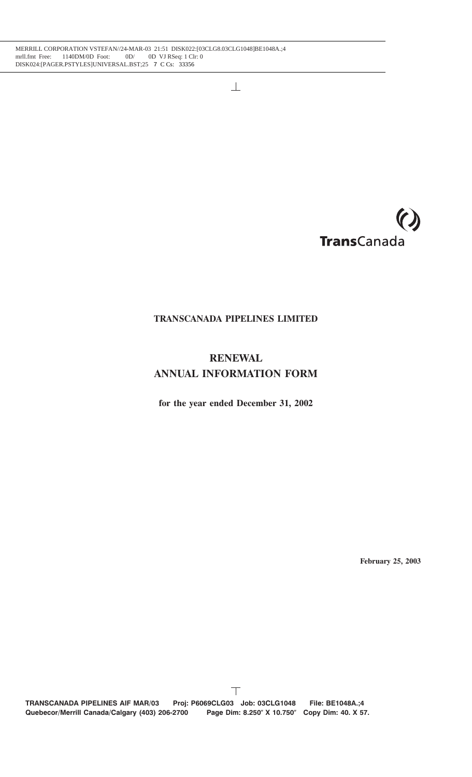

# **TRANSCANADA PIPELINES LIMITED**

# **RENEWAL ANNUAL INFORMATION FORM**

**for the year ended December 31, 2002**

**February 25, 2003**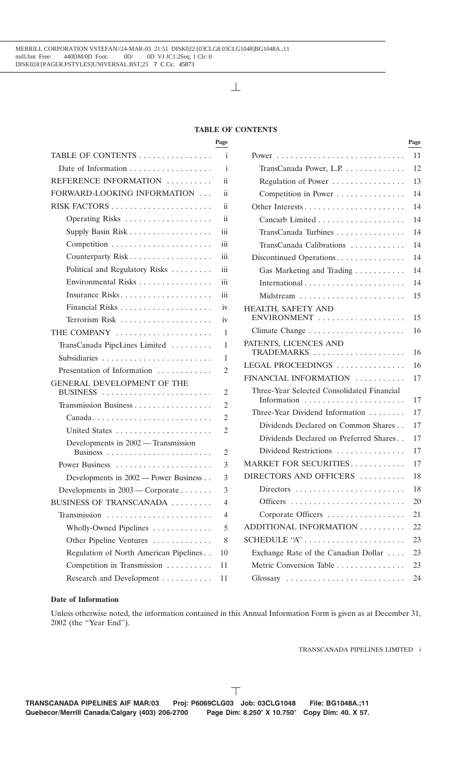## **TABLE OF CONTENTS**

| I<br>. .<br>$\sim$<br>I<br>×<br>٠ |  |  |
|-----------------------------------|--|--|
|-----------------------------------|--|--|

| TABLE OF CONTENTS                      |                 |                                                              |    |
|----------------------------------------|-----------------|--------------------------------------------------------------|----|
|                                        | $\mathbf{i}$    | TransCanada Power, L.P.                                      | 12 |
| REFERENCE INFORMATION                  | ii.             | Regulation of Power                                          | 13 |
| FORWARD-LOOKING INFORMATION            | $\rm ii$        | Competition in Power                                         | 14 |
|                                        | $\ddot{\rm ii}$ |                                                              | 14 |
|                                        | ii              |                                                              | 14 |
| Supply Basin Risk                      | iii             | TransCanada Turbines                                         | 14 |
|                                        | iii             | TransCanada Calibrations                                     | 14 |
| Counterparty Risk                      | iii             | Discontinued Operations                                      | 14 |
| Political and Regulatory Risks         | iii             | Gas Marketing and Trading                                    | 14 |
| Environmental Risks                    | iii             |                                                              | 14 |
| Insurance Risks                        | iii             |                                                              | 15 |
|                                        | iv              | HEALTH, SAFETY AND                                           |    |
| Terrorism Risk                         | iv              | ENVIRONMENT                                                  | 15 |
| THE COMPANY                            | 1               | Climate Change                                               | 16 |
| TransCanada PipeLines Limited          | 1               | PATENTS, LICENCES AND                                        |    |
| Subsidiaries                           | 1               | TRADEMARKS                                                   | 16 |
| Presentation of Information            | 2               | LEGAL PROCEEDINGS                                            | 16 |
| GENERAL DEVELOPMENT OF THE             |                 | FINANCIAL INFORMATION                                        | 17 |
| BUSINESS                               | $\overline{2}$  | Three-Year Selected Consolidated Financial<br>Information    | 17 |
| Transmission Business                  | $\overline{2}$  | Three-Year Dividend Information                              | 17 |
| Canada                                 | $\overline{2}$  | Dividends Declared on Common Shares                          | 17 |
|                                        | 2               | Dividends Declared on Preferred Shares                       | 17 |
| Developments in 2002 - Transmission    | $\overline{2}$  | Dividend Restrictions                                        | 17 |
|                                        | 3               | MARKET FOR SECURITIES                                        | 17 |
| Developments in 2002 - Power Business  | 3               | DIRECTORS AND OFFICERS                                       | 18 |
| Developments in $2003$ — Corporate     | 3               | $Directions \dots \dots \dots \dots \dots \dots \dots \dots$ | 18 |
| BUSINESS OF TRANSCANADA                | $\overline{4}$  |                                                              | 20 |
| Transmission                           | $\overline{4}$  | Corporate Officers                                           | 21 |
| Wholly-Owned Pipelines                 | 5               | ADDITIONAL INFORMATION                                       | 22 |
| Other Pipeline Ventures                | 8               | SCHEDULE "A"                                                 | 23 |
| Regulation of North American Pipelines | 10              | Exchange Rate of the Canadian Dollar                         | 23 |
| Competition in Transmission            | 11              | Metric Conversion Table                                      | 23 |
| Research and Development               | 11              | Glossary                                                     | 24 |
|                                        |                 |                                                              |    |

|                                                     | Page            |                                                           | Page |
|-----------------------------------------------------|-----------------|-----------------------------------------------------------|------|
| ABLE OF CONTENTS                                    | i               |                                                           | 11   |
| Date of Information $\dots \dots \dots \dots \dots$ | i               | TransCanada Power, L.P.                                   | 12   |
| EFERENCE INFORMATION                                | ii              | Regulation of Power                                       | 13   |
| DRWARD-LOOKING INFORMATION                          | ii              | Competition in Power                                      | 14   |
|                                                     | $\ddot{\rm ii}$ |                                                           | 14   |
|                                                     | ii              |                                                           | 14   |
| Supply Basin Risk                                   | iii             | TransCanada Turbines                                      | 14   |
|                                                     | iii             | TransCanada Calibrations                                  | 14   |
| Counterparty Risk                                   | iii             | Discontinued Operations                                   | 14   |
| Political and Regulatory Risks                      | iii             | Gas Marketing and Trading                                 | 14   |
| Environmental Risks                                 | iii             |                                                           | 14   |
| Insurance Risks                                     | iii             | Midstream                                                 | 15   |
|                                                     | iv              | HEALTH, SAFETY AND                                        |      |
|                                                     | iv              | ENVIRONMENT                                               | 15   |
| IE COMPANY                                          | 1               |                                                           | 16   |
| TransCanada PipeLines Limited                       | 1               | PATENTS, LICENCES AND                                     |      |
|                                                     | 1               | TRADEMARKS                                                | 16   |
| Presentation of Information                         | $\mathfrak{2}$  | LEGAL PROCEEDINGS                                         | 16   |
| ENERAL DEVELOPMENT OF THE                           |                 | FINANCIAL INFORMATION                                     | 17   |
| $\texttt{BUSINESS}$                                 | $\overline{2}$  | Three-Year Selected Consolidated Financial<br>Information | 17   |
| Transmission Business                               | $\mathfrak{2}$  | Three-Year Dividend Information                           | 17   |
|                                                     | $\mathfrak{2}$  | Dividends Declared on Common Shares                       | 17   |
|                                                     | $\mathfrak{2}$  | Dividends Declared on Preferred Shares                    | 17   |
| Developments in 2002 — Transmission                 | $\overline{2}$  | Dividend Restrictions                                     | 17   |
|                                                     | 3               | MARKET FOR SECURITIES                                     | 17   |
| Developments in 2002 — Power Business               | 3               | DIRECTORS AND OFFICERS                                    | 18   |
| Developments in $2003$ — Corporate                  | 3               |                                                           | 18   |
| JSINESS OF TRANSCANADA                              | $\overline{4}$  |                                                           | 20   |
| $\text{Transmission}$                               | 4               | Corporate Officers                                        | 21   |
| Wholly-Owned Pipelines                              | 5               | ADDITIONAL INFORMATION                                    | 22   |
| Other Pipeline Ventures                             | 8               | SCHEDULE "A"                                              | 23   |
| Regulation of North American Pipelines              | 10              | Exchange Rate of the Canadian Dollar                      | 23   |
| Competition in Transmission                         | 11              | Metric Conversion Table                                   | 23   |
| Research and Development                            | 11              | Glossary                                                  | 24   |
|                                                     |                 |                                                           |      |

## **Date of Information**

Unless otherwise noted, the information contained in this Annual Information Form is given as at December 31, 2002 (the ''Year End'').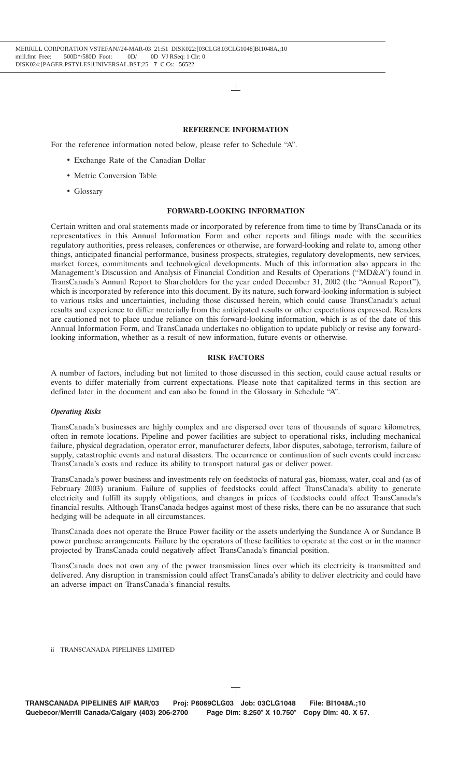#### **REFERENCE INFORMATION**

For the reference information noted below, please refer to Schedule ''A''.

- Exchange Rate of the Canadian Dollar
- Metric Conversion Table
- Glossary

#### **FORWARD-LOOKING INFORMATION**

Certain written and oral statements made or incorporated by reference from time to time by TransCanada or its representatives in this Annual Information Form and other reports and filings made with the securities regulatory authorities, press releases, conferences or otherwise, are forward-looking and relate to, among other things, anticipated financial performance, business prospects, strategies, regulatory developments, new services, market forces, commitments and technological developments. Much of this information also appears in the Management's Discussion and Analysis of Financial Condition and Results of Operations (''MD&A'') found in TransCanada's Annual Report to Shareholders for the year ended December 31, 2002 (the ''Annual Report''), which is incorporated by reference into this document. By its nature, such forward-looking information is subject to various risks and uncertainties, including those discussed herein, which could cause TransCanada's actual results and experience to differ materially from the anticipated results or other expectations expressed. Readers are cautioned not to place undue reliance on this forward-looking information, which is as of the date of this Annual Information Form, and TransCanada undertakes no obligation to update publicly or revise any forwardlooking information, whether as a result of new information, future events or otherwise.

## **RISK FACTORS**

A number of factors, including but not limited to those discussed in this section, could cause actual results or events to differ materially from current expectations. Please note that capitalized terms in this section are defined later in the document and can also be found in the Glossary in Schedule ''A''.

#### *Operating Risks*

TransCanada's businesses are highly complex and are dispersed over tens of thousands of square kilometres, often in remote locations. Pipeline and power facilities are subject to operational risks, including mechanical failure, physical degradation, operator error, manufacturer defects, labor disputes, sabotage, terrorism, failure of supply, catastrophic events and natural disasters. The occurrence or continuation of such events could increase TransCanada's costs and reduce its ability to transport natural gas or deliver power.

TransCanada's power business and investments rely on feedstocks of natural gas, biomass, water, coal and (as of February 2003) uranium. Failure of supplies of feedstocks could affect TransCanada's ability to generate electricity and fulfill its supply obligations, and changes in prices of feedstocks could affect TransCanada's financial results. Although TransCanada hedges against most of these risks, there can be no assurance that such hedging will be adequate in all circumstances.

TransCanada does not operate the Bruce Power facility or the assets underlying the Sundance A or Sundance B power purchase arrangements. Failure by the operators of these facilities to operate at the cost or in the manner projected by TransCanada could negatively affect TransCanada's financial position.

TransCanada does not own any of the power transmission lines over which its electricity is transmitted and delivered. Any disruption in transmission could affect TransCanada's ability to deliver electricity and could have an adverse impact on TransCanada's financial results.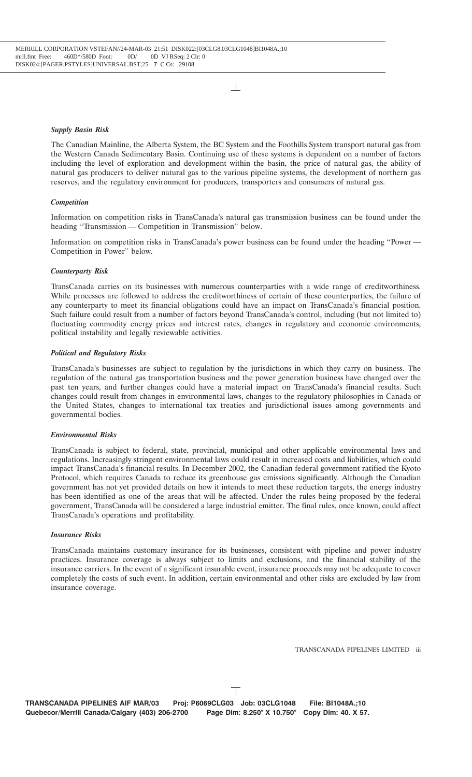#### *Supply Basin Risk*

The Canadian Mainline, the Alberta System, the BC System and the Foothills System transport natural gas from the Western Canada Sedimentary Basin. Continuing use of these systems is dependent on a number of factors including the level of exploration and development within the basin, the price of natural gas, the ability of natural gas producers to deliver natural gas to the various pipeline systems, the development of northern gas reserves, and the regulatory environment for producers, transporters and consumers of natural gas.

#### *Competition*

Information on competition risks in TransCanada's natural gas transmission business can be found under the heading ''Transmission — Competition in Transmission'' below.

Information on competition risks in TransCanada's power business can be found under the heading ''Power — Competition in Power'' below.

#### *Counterparty Risk*

TransCanada carries on its businesses with numerous counterparties with a wide range of creditworthiness. While processes are followed to address the creditworthiness of certain of these counterparties, the failure of any counterparty to meet its financial obligations could have an impact on TransCanada's financial position. Such failure could result from a number of factors beyond TransCanada's control, including (but not limited to) fluctuating commodity energy prices and interest rates, changes in regulatory and economic environments, political instability and legally reviewable activities.

#### *Political and Regulatory Risks*

TransCanada's businesses are subject to regulation by the jurisdictions in which they carry on business. The regulation of the natural gas transportation business and the power generation business have changed over the past ten years, and further changes could have a material impact on TransCanada's financial results. Such changes could result from changes in environmental laws, changes to the regulatory philosophies in Canada or the United States, changes to international tax treaties and jurisdictional issues among governments and governmental bodies.

#### *Environmental Risks*

TransCanada is subject to federal, state, provincial, municipal and other applicable environmental laws and regulations. Increasingly stringent environmental laws could result in increased costs and liabilities, which could impact TransCanada's financial results. In December 2002, the Canadian federal government ratified the Kyoto Protocol, which requires Canada to reduce its greenhouse gas emissions significantly. Although the Canadian government has not yet provided details on how it intends to meet these reduction targets, the energy industry has been identified as one of the areas that will be affected. Under the rules being proposed by the federal government, TransCanada will be considered a large industrial emitter. The final rules, once known, could affect TransCanada's operations and profitability.

#### *Insurance Risks*

TransCanada maintains customary insurance for its businesses, consistent with pipeline and power industry practices. Insurance coverage is always subject to limits and exclusions, and the financial stability of the insurance carriers. In the event of a significant insurable event, insurance proceeds may not be adequate to cover completely the costs of such event. In addition, certain environmental and other risks are excluded by law from insurance coverage.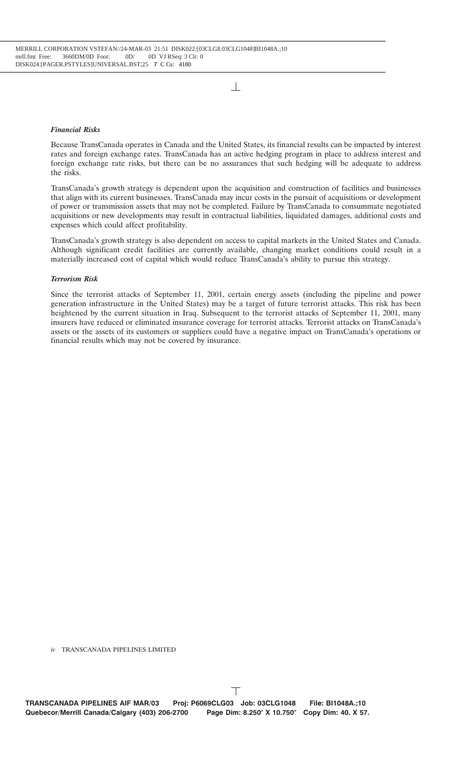## *Financial Risks*

Because TransCanada operates in Canada and the United States, its financial results can be impacted by interest rates and foreign exchange rates. TransCanada has an active hedging program in place to address interest and foreign exchange rate risks, but there can be no assurances that such hedging will be adequate to address the risks.

TransCanada's growth strategy is dependent upon the acquisition and construction of facilities and businesses that align with its current businesses. TransCanada may incur costs in the pursuit of acquisitions or development of power or transmission assets that may not be completed. Failure by TransCanada to consummate negotiated acquisitions or new developments may result in contractual liabilities, liquidated damages, additional costs and expenses which could affect profitability.

TransCanada's growth strategy is also dependent on access to capital markets in the United States and Canada. Although significant credit facilities are currently available, changing market conditions could result in a materially increased cost of capital which would reduce TransCanada's ability to pursue this strategy.

#### *Terrorism Risk*

Since the terrorist attacks of September 11, 2001, certain energy assets (including the pipeline and power generation infrastructure in the United States) may be a target of future terrorist attacks. This risk has been heightened by the current situation in Iraq. Subsequent to the terrorist attacks of September 11, 2001, many insurers have reduced or eliminated insurance coverage for terrorist attacks. Terrorist attacks on TransCanada's assets or the assets of its customers or suppliers could have a negative impact on TransCanada's operations or financial results which may not be covered by insurance.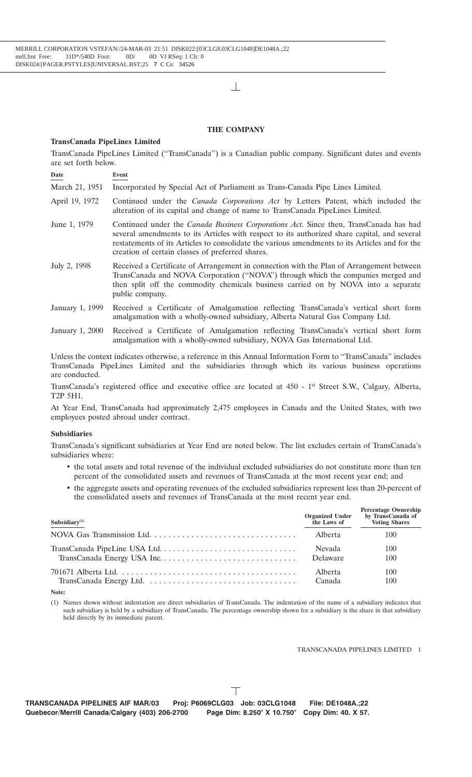## **THE COMPANY**

#### **TransCanada PipeLines Limited**

TransCanada PipeLines Limited (''TransCanada'') is a Canadian public company. Significant dates and events are set forth below.

**Date Event**

- March 21, 1951 Incorporated by Special Act of Parliament as Trans-Canada Pipe Lines Limited.
- April 19, 1972 Continued under the *Canada Corporations Act* by Letters Patent, which included the alteration of its capital and change of name to TransCanada PipeLines Limited.
- June 1, 1979 Continued under the *Canada Business Corporations Act*. Since then, TransCanada has had several amendments to its Articles with respect to its authorized share capital, and several restatements of its Articles to consolidate the various amendments to its Articles and for the creation of certain classes of preferred shares.
- July 2, 1998 Received a Certificate of Arrangement in connection with the Plan of Arrangement between TransCanada and NOVA Corporation (''NOVA'') through which the companies merged and then split off the commodity chemicals business carried on by NOVA into a separate public company.
- January 1, 1999 Received a Certificate of Amalgamation reflecting TransCanada's vertical short form amalgamation with a wholly-owned subsidiary, Alberta Natural Gas Company Ltd.
- January 1, 2000 Received a Certificate of Amalgamation reflecting TransCanada's vertical short form amalgamation with a wholly-owned subsidiary, NOVA Gas International Ltd.

Unless the context indicates otherwise, a reference in this Annual Information Form to ''TransCanada'' includes TransCanada PipeLines Limited and the subsidiaries through which its various business operations are conducted.

TransCanada's registered office and executive office are located at 450 - 1st Street S.W., Calgary, Alberta, T2P 5H1.

At Year End, TransCanada had approximately 2,475 employees in Canada and the United States, with two employees posted abroad under contract.

#### **Subsidiaries**

TransCanada's significant subsidiaries at Year End are noted below. The list excludes certain of TransCanada's subsidiaries where:

- the total assets and total revenue of the individual excluded subsidiaries do not constitute more than ten percent of the consolidated assets and revenues of TransCanada at the most recent year end; and
- the aggregate assets and operating revenues of the excluded subsidiaries represent less than 20-percent of the consolidated assets and revenues of TransCanada at the most recent year end.

| Subsidiary $(1)$ | <b>Organized Under<br/>the Laws of</b> | <b>Percentage Ownership</b><br>by TransCanada of<br><b>Voting Shares</b> |
|------------------|----------------------------------------|--------------------------------------------------------------------------|
|                  | Alberta                                | 100                                                                      |
|                  | Nevada                                 | 100                                                                      |
|                  | Delaware                               | 100                                                                      |
|                  | Alberta                                | 100                                                                      |
|                  | Canada                                 | 100                                                                      |

**Note:**

(1) Names shown without indentation are direct subsidiaries of TransCanada. The indentation of the name of a subsidiary indicates that such subsidiary is held by a subsidiary of TransCanada. The percentage ownership shown for a subsidiary is the share in that subsidiary held directly by its immediate parent.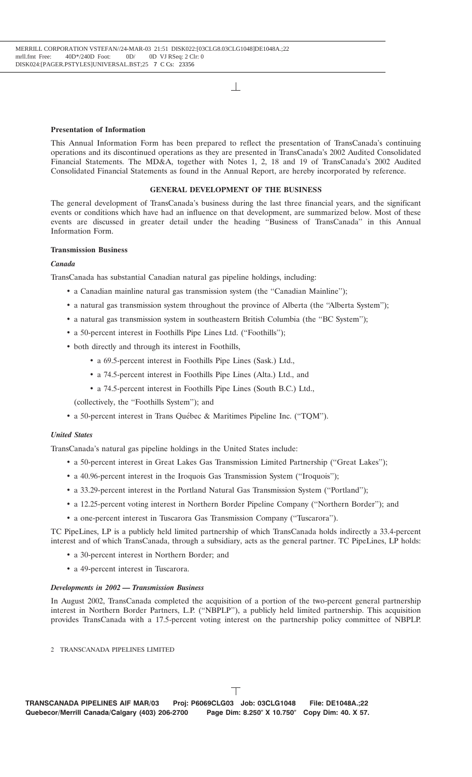#### **Presentation of Information**

This Annual Information Form has been prepared to reflect the presentation of TransCanada's continuing operations and its discontinued operations as they are presented in TransCanada's 2002 Audited Consolidated Financial Statements. The MD&A, together with Notes 1, 2, 18 and 19 of TransCanada's 2002 Audited Consolidated Financial Statements as found in the Annual Report, are hereby incorporated by reference.

## **GENERAL DEVELOPMENT OF THE BUSINESS**

The general development of TransCanada's business during the last three financial years, and the significant events or conditions which have had an influence on that development, are summarized below. Most of these events are discussed in greater detail under the heading ''Business of TransCanada'' in this Annual Information Form.

#### **Transmission Business**

#### *Canada*

TransCanada has substantial Canadian natural gas pipeline holdings, including:

- a Canadian mainline natural gas transmission system (the ''Canadian Mainline'');
- a natural gas transmission system throughout the province of Alberta (the "Alberta System");
- a natural gas transmission system in southeastern British Columbia (the "BC System"):
- a 50-percent interest in Foothills Pipe Lines Ltd. (''Foothills'');
- both directly and through its interest in Foothills,
	- a 69.5-percent interest in Foothills Pipe Lines (Sask.) Ltd.,
	- a 74.5-percent interest in Foothills Pipe Lines (Alta.) Ltd., and
	- a 74.5-percent interest in Foothills Pipe Lines (South B.C.) Ltd.,

(collectively, the ''Foothills System''); and

• a 50-percent interest in Trans Québec & Maritimes Pipeline Inc. ("TQM").

#### *United States*

TransCanada's natural gas pipeline holdings in the United States include:

- a 50-percent interest in Great Lakes Gas Transmission Limited Partnership (''Great Lakes'');
- a 40.96-percent interest in the Iroquois Gas Transmission System (''Iroquois'');
- a 33.29-percent interest in the Portland Natural Gas Transmission System (''Portland'');
- a 12.25-percent voting interest in Northern Border Pipeline Company (''Northern Border''); and
- a one-percent interest in Tuscarora Gas Transmission Company (''Tuscarora'').

TC PipeLines, LP is a publicly held limited partnership of which TransCanada holds indirectly a 33.4-percent interest and of which TransCanada, through a subsidiary, acts as the general partner. TC PipeLines, LP holds:

- a 30-percent interest in Northern Border; and
- a 49-percent interest in Tuscarora.

## *Developments in 2002 — Transmission Business*

In August 2002, TransCanada completed the acquisition of a portion of the two-percent general partnership interest in Northern Border Partners, L.P. (''NBPLP''), a publicly held limited partnership. This acquisition provides TransCanada with a 17.5-percent voting interest on the partnership policy committee of NBPLP.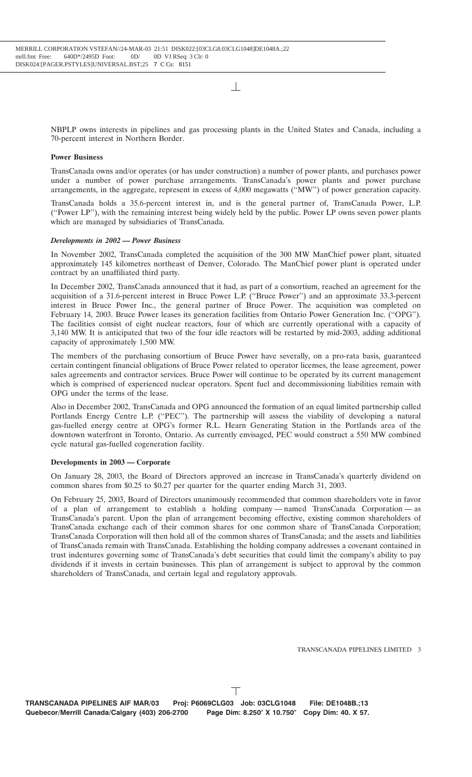NBPLP owns interests in pipelines and gas processing plants in the United States and Canada, including a 70-percent interest in Northern Border.

## **Power Business**

TransCanada owns and/or operates (or has under construction) a number of power plants, and purchases power under a number of power purchase arrangements. TransCanada's power plants and power purchase arrangements, in the aggregate, represent in excess of 4,000 megawatts (''MW'') of power generation capacity.

TransCanada holds a 35.6-percent interest in, and is the general partner of, TransCanada Power, L.P. (''Power LP''), with the remaining interest being widely held by the public. Power LP owns seven power plants which are managed by subsidiaries of TransCanada.

## *Developments in 2002 — Power Business*

In November 2002, TransCanada completed the acquisition of the 300 MW ManChief power plant, situated approximately 145 kilometres northeast of Denver, Colorado. The ManChief power plant is operated under contract by an unaffiliated third party.

In December 2002, TransCanada announced that it had, as part of a consortium, reached an agreement for the acquisition of a 31.6-percent interest in Bruce Power L.P. (''Bruce Power'') and an approximate 33.3-percent interest in Bruce Power Inc., the general partner of Bruce Power. The acquisition was completed on February 14, 2003. Bruce Power leases its generation facilities from Ontario Power Generation Inc. (''OPG''). The facilities consist of eight nuclear reactors, four of which are currently operational with a capacity of 3,140 MW. It is anticipated that two of the four idle reactors will be restarted by mid-2003, adding additional capacity of approximately 1,500 MW.

The members of the purchasing consortium of Bruce Power have severally, on a pro-rata basis, guaranteed certain contingent financial obligations of Bruce Power related to operator licenses, the lease agreement, power sales agreements and contractor services. Bruce Power will continue to be operated by its current management which is comprised of experienced nuclear operators. Spent fuel and decommissioning liabilities remain with OPG under the terms of the lease.

Also in December 2002, TransCanada and OPG announced the formation of an equal limited partnership called Portlands Energy Centre L.P. (''PEC''). The partnership will assess the viability of developing a natural gas-fuelled energy centre at OPG's former R.L. Hearn Generating Station in the Portlands area of the downtown waterfront in Toronto, Ontario. As currently envisaged, PEC would construct a 550 MW combined cycle natural gas-fuelled cogeneration facility.

#### **Developments in 2003 — Corporate**

On January 28, 2003, the Board of Directors approved an increase in TransCanada's quarterly dividend on common shares from \$0.25 to \$0.27 per quarter for the quarter ending March 31, 2003.

On February 25, 2003, Board of Directors unanimously recommended that common shareholders vote in favor of a plan of arrangement to establish a holding company — named TransCanada Corporation — as TransCanada's parent. Upon the plan of arrangement becoming effective, existing common shareholders of TransCanada exchange each of their common shares for one common share of TransCanada Corporation; TransCanada Corporation will then hold all of the common shares of TransCanada; and the assets and liabilities of TransCanada remain with TransCanada. Establishing the holding company addresses a covenant contained in trust indentures governing some of TransCanada's debt securities that could limit the company's ability to pay dividends if it invests in certain businesses. This plan of arrangement is subject to approval by the common shareholders of TransCanada, and certain legal and regulatory approvals.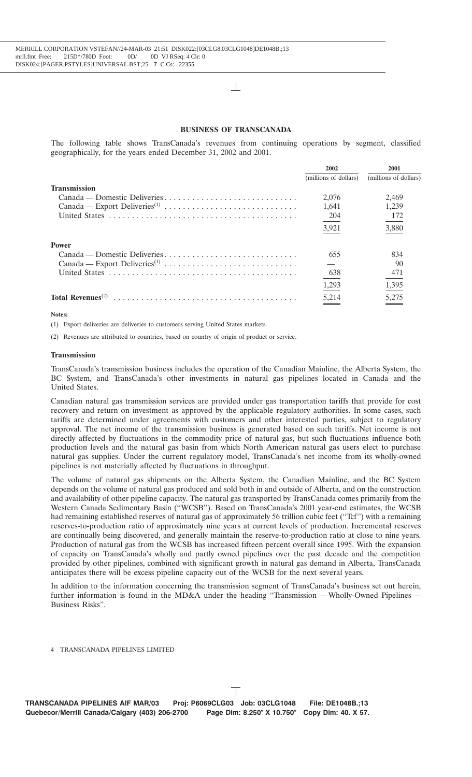#### **BUSINESS OF TRANSCANADA**

The following table shows TransCanada's revenues from continuing operations by segment, classified geographically, for the years ended December 31, 2002 and 2001.

|                                            | 2002                  | 2001                  |
|--------------------------------------------|-----------------------|-----------------------|
|                                            | (millions of dollars) | (millions of dollars) |
| <b>Transmission</b>                        |                       |                       |
| Canada — Domestic Deliveries               | 2.076                 | 2.469                 |
|                                            | 1.641                 | 1.239                 |
|                                            | -204                  | 172                   |
|                                            | 3,921                 | 3,880                 |
| <b>Power</b>                               |                       |                       |
| Canada — Domestic Deliveries               | 655                   | 834                   |
|                                            |                       | 90                    |
|                                            | 638                   | 471                   |
|                                            | 1,293                 | 1,395                 |
| Total Revenues <sup><math>(2)</math></sup> | 5,214                 | 5,275                 |

**Notes:**

(1) Export deliveries are deliveries to customers serving United States markets.

(2) Revenues are attributed to countries, based on country of origin of product or service.

#### **Transmission**

TransCanada's transmission business includes the operation of the Canadian Mainline, the Alberta System, the BC System, and TransCanada's other investments in natural gas pipelines located in Canada and the United States.

Canadian natural gas transmission services are provided under gas transportation tariffs that provide for cost recovery and return on investment as approved by the applicable regulatory authorities. In some cases, such tariffs are determined under agreements with customers and other interested parties, subject to regulatory approval. The net income of the transmission business is generated based on such tariffs. Net income is not directly affected by fluctuations in the commodity price of natural gas, but such fluctuations influence both production levels and the natural gas basin from which North American natural gas users elect to purchase natural gas supplies. Under the current regulatory model, TransCanada's net income from its wholly-owned pipelines is not materially affected by fluctuations in throughput.

The volume of natural gas shipments on the Alberta System, the Canadian Mainline, and the BC System depends on the volume of natural gas produced and sold both in and outside of Alberta, and on the construction and availability of other pipeline capacity. The natural gas transported by TransCanada comes primarily from the Western Canada Sedimentary Basin (''WCSB''). Based on TransCanada's 2001 year-end estimates, the WCSB had remaining established reserves of natural gas of approximately 56 trillion cubic feet ("Tcf") with a remaining reserves-to-production ratio of approximately nine years at current levels of production. Incremental reserves are continually being discovered, and generally maintain the reserve-to-production ratio at close to nine years. Production of natural gas from the WCSB has increased fifteen percent overall since 1995. With the expansion of capacity on TransCanada's wholly and partly owned pipelines over the past decade and the competition provided by other pipelines, combined with significant growth in natural gas demand in Alberta, TransCanada anticipates there will be excess pipeline capacity out of the WCSB for the next several years.

In addition to the information concerning the transmission segment of TransCanada's business set out herein, further information is found in the MD&A under the heading ''Transmission — Wholly-Owned Pipelines — Business Risks''.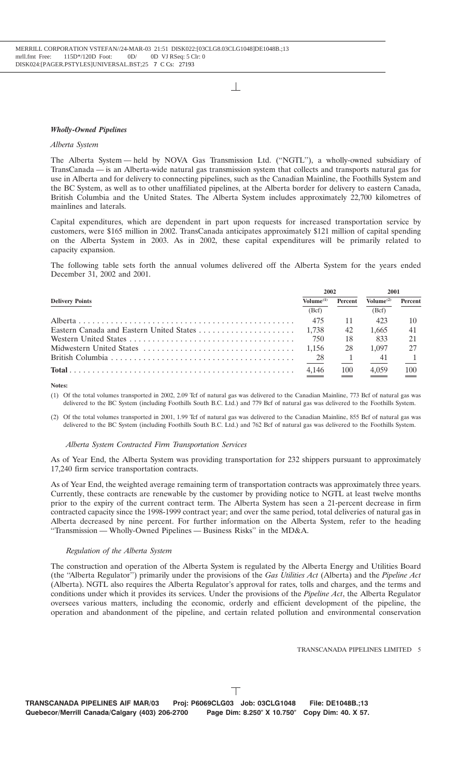#### *Wholly-Owned Pipelines*

## *Alberta System*

The Alberta System — held by NOVA Gas Transmission Ltd. (''NGTL''), a wholly-owned subsidiary of TransCanada — is an Alberta-wide natural gas transmission system that collects and transports natural gas for use in Alberta and for delivery to connecting pipelines, such as the Canadian Mainline, the Foothills System and the BC System, as well as to other unaffiliated pipelines, at the Alberta border for delivery to eastern Canada, British Columbia and the United States. The Alberta System includes approximately 22,700 kilometres of mainlines and laterals.

Capital expenditures, which are dependent in part upon requests for increased transportation service by customers, were \$165 million in 2002. TransCanada anticipates approximately \$121 million of capital spending on the Alberta System in 2003. As in 2002, these capital expenditures will be primarily related to capacity expansion.

The following table sets forth the annual volumes delivered off the Alberta System for the years ended December 31, 2002 and 2001.

| <b>Delivery Points</b> |       | 2002    |                       | 2001           |  |
|------------------------|-------|---------|-----------------------|----------------|--|
|                        |       | Percent | Volume <sup>(2)</sup> | <b>Percent</b> |  |
|                        | (Bcf) |         | (Bcf)                 |                |  |
|                        | 475   | -11     | 423                   |                |  |
|                        |       | 42      | 1.665                 | 41             |  |
|                        | 750   | 18      | 833                   |                |  |
|                        | 1.156 | 28      | 1.097                 |                |  |
|                        | 28    |         | - 41                  |                |  |
|                        | 4.146 | 100     | 4.059                 | 100            |  |

**Notes:**

(1) Of the total volumes transported in 2002, 2.09 Tcf of natural gas was delivered to the Canadian Mainline, 773 Bcf of natural gas was delivered to the BC System (including Foothills South B.C. Ltd.) and 779 Bcf of natural gas was delivered to the Foothills System.

(2) Of the total volumes transported in 2001, 1.99 Tcf of natural gas was delivered to the Canadian Mainline, 855 Bcf of natural gas was delivered to the BC System (including Foothills South B.C. Ltd.) and 762 Bcf of natural gas was delivered to the Foothills System.

#### *Alberta System Contracted Firm Transportation Services*

As of Year End, the Alberta System was providing transportation for 232 shippers pursuant to approximately 17,240 firm service transportation contracts.

As of Year End, the weighted average remaining term of transportation contracts was approximately three years. Currently, these contracts are renewable by the customer by providing notice to NGTL at least twelve months prior to the expiry of the current contract term. The Alberta System has seen a 21-percent decrease in firm contracted capacity since the 1998-1999 contract year; and over the same period, total deliveries of natural gas in Alberta decreased by nine percent. For further information on the Alberta System, refer to the heading ''Transmission — Wholly-Owned Pipelines — Business Risks'' in the MD&A.

#### *Regulation of the Alberta System*

The construction and operation of the Alberta System is regulated by the Alberta Energy and Utilities Board (the ''Alberta Regulator'') primarily under the provisions of the *Gas Utilities Act* (Alberta) and the *Pipeline Act* (Alberta). NGTL also requires the Alberta Regulator's approval for rates, tolls and charges, and the terms and conditions under which it provides its services. Under the provisions of the *Pipeline Act*, the Alberta Regulator oversees various matters, including the economic, orderly and efficient development of the pipeline, the operation and abandonment of the pipeline, and certain related pollution and environmental conservation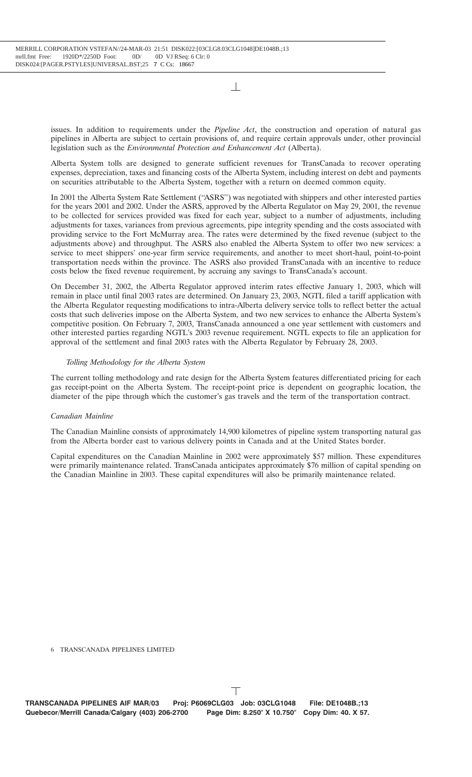issues. In addition to requirements under the *Pipeline Act*, the construction and operation of natural gas pipelines in Alberta are subject to certain provisions of, and require certain approvals under, other provincial legislation such as the *Environmental Protection and Enhancement Act* (Alberta).

Alberta System tolls are designed to generate sufficient revenues for TransCanada to recover operating expenses, depreciation, taxes and financing costs of the Alberta System, including interest on debt and payments on securities attributable to the Alberta System, together with a return on deemed common equity.

In 2001 the Alberta System Rate Settlement (''ASRS'') was negotiated with shippers and other interested parties for the years 2001 and 2002. Under the ASRS, approved by the Alberta Regulator on May 29, 2001, the revenue to be collected for services provided was fixed for each year, subject to a number of adjustments, including adjustments for taxes, variances from previous agreements, pipe integrity spending and the costs associated with providing service to the Fort McMurray area. The rates were determined by the fixed revenue (subject to the adjustments above) and throughput. The ASRS also enabled the Alberta System to offer two new services: a service to meet shippers' one-year firm service requirements, and another to meet short-haul, point-to-point transportation needs within the province. The ASRS also provided TransCanada with an incentive to reduce costs below the fixed revenue requirement, by accruing any savings to TransCanada's account.

On December 31, 2002, the Alberta Regulator approved interim rates effective January 1, 2003, which will remain in place until final 2003 rates are determined. On January 23, 2003, NGTL filed a tariff application with the Alberta Regulator requesting modifications to intra-Alberta delivery service tolls to reflect better the actual costs that such deliveries impose on the Alberta System, and two new services to enhance the Alberta System's competitive position. On February 7, 2003, TransCanada announced a one year settlement with customers and other interested parties regarding NGTL's 2003 revenue requirement. NGTL expects to file an application for approval of the settlement and final 2003 rates with the Alberta Regulator by February 28, 2003.

## *Tolling Methodology for the Alberta System*

The current tolling methodology and rate design for the Alberta System features differentiated pricing for each gas receipt-point on the Alberta System. The receipt-point price is dependent on geographic location, the diameter of the pipe through which the customer's gas travels and the term of the transportation contract.

## *Canadian Mainline*

The Canadian Mainline consists of approximately 14,900 kilometres of pipeline system transporting natural gas from the Alberta border east to various delivery points in Canada and at the United States border.

Capital expenditures on the Canadian Mainline in 2002 were approximately \$57 million. These expenditures were primarily maintenance related. TransCanada anticipates approximately \$76 million of capital spending on the Canadian Mainline in 2003. These capital expenditures will also be primarily maintenance related.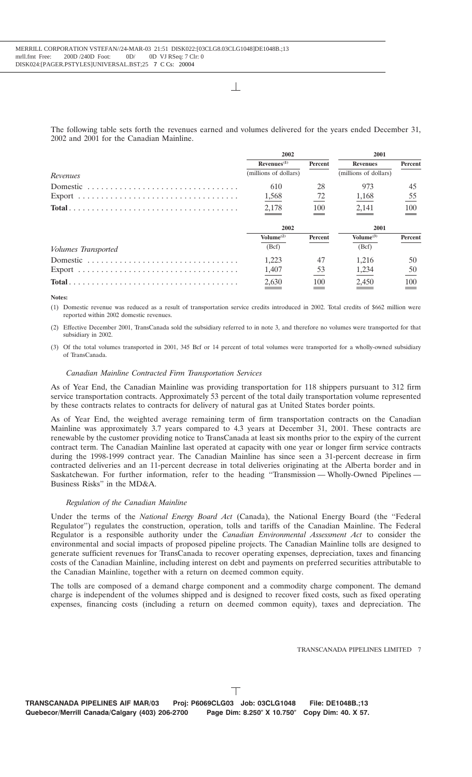The following table sets forth the revenues earned and volumes delivered for the years ended December 31, 2002 and 2001 for the Canadian Mainline.

|                     | 2002                    |         | 2001                  |         |
|---------------------|-------------------------|---------|-----------------------|---------|
|                     | Revenues <sup>(1)</sup> | Percent | <b>Revenues</b>       | Percent |
| Revenues            | (millions of dollars)   |         | (millions of dollars) |         |
| Domestic            | 610                     | 28      | 973                   | 45      |
|                     | 1,568                   | 72      | 1,168                 | 55      |
|                     | 2,178                   | 100     | 2,141                 | 100     |
|                     | 2002                    |         | 2001                  |         |
|                     | Volume <sup>(2)</sup>   | Percent | Volume <sup>(3)</sup> | Percent |
| Volumes Transported | (Bcf)                   |         | (Bcf)                 |         |
|                     | 1.223                   | 47      | 1.216                 | 50      |
|                     | 1,407                   | 53      | 1,234                 | 50      |
|                     | 2,630                   | 100     | 2,450                 | 100     |

#### **Notes:**

(1) Domestic revenue was reduced as a result of transportation service credits introduced in 2002. Total credits of \$662 million were reported within 2002 domestic revenues.

(2) Effective December 2001, TransCanada sold the subsidiary referred to in note 3, and therefore no volumes were transported for that subsidiary in 2002.

(3) Of the total volumes transported in 2001, 345 Bcf or 14 percent of total volumes were transported for a wholly-owned subsidiary of TransCanada.

#### *Canadian Mainline Contracted Firm Transportation Services*

As of Year End, the Canadian Mainline was providing transportation for 118 shippers pursuant to 312 firm service transportation contracts. Approximately 53 percent of the total daily transportation volume represented by these contracts relates to contracts for delivery of natural gas at United States border points.

As of Year End, the weighted average remaining term of firm transportation contracts on the Canadian Mainline was approximately 3.7 years compared to 4.3 years at December 31, 2001. These contracts are renewable by the customer providing notice to TransCanada at least six months prior to the expiry of the current contract term. The Canadian Mainline last operated at capacity with one year or longer firm service contracts during the 1998-1999 contract year. The Canadian Mainline has since seen a 31-percent decrease in firm contracted deliveries and an 11-percent decrease in total deliveries originating at the Alberta border and in Saskatchewan. For further information, refer to the heading ''Transmission — Wholly-Owned Pipelines — Business Risks'' in the MD&A.

#### *Regulation of the Canadian Mainline*

Under the terms of the *National Energy Board Act* (Canada), the National Energy Board (the ''Federal Regulator'') regulates the construction, operation, tolls and tariffs of the Canadian Mainline. The Federal Regulator is a responsible authority under the *Canadian Environmental Assessment Act* to consider the environmental and social impacts of proposed pipeline projects. The Canadian Mainline tolls are designed to generate sufficient revenues for TransCanada to recover operating expenses, depreciation, taxes and financing costs of the Canadian Mainline, including interest on debt and payments on preferred securities attributable to the Canadian Mainline, together with a return on deemed common equity.

The tolls are composed of a demand charge component and a commodity charge component. The demand charge is independent of the volumes shipped and is designed to recover fixed costs, such as fixed operating expenses, financing costs (including a return on deemed common equity), taxes and depreciation. The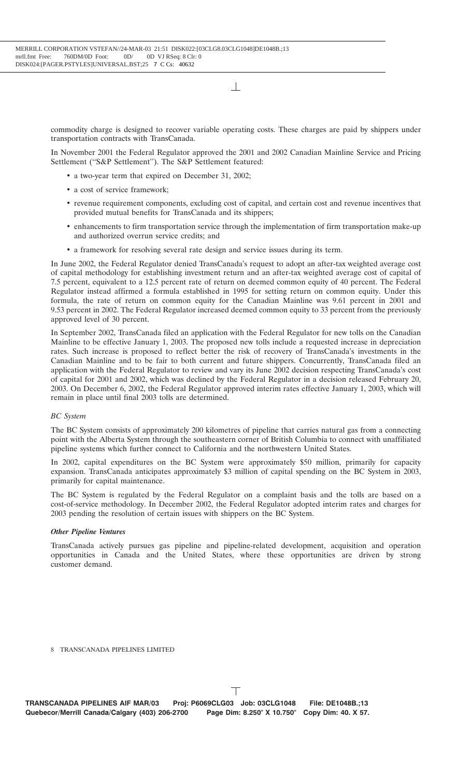commodity charge is designed to recover variable operating costs. These charges are paid by shippers under transportation contracts with TransCanada.

In November 2001 the Federal Regulator approved the 2001 and 2002 Canadian Mainline Service and Pricing Settlement ("S&P Settlement"). The S&P Settlement featured:

- a two-year term that expired on December 31, 2002;
- a cost of service framework;
- revenue requirement components, excluding cost of capital, and certain cost and revenue incentives that provided mutual benefits for TransCanada and its shippers;
- enhancements to firm transportation service through the implementation of firm transportation make-up and authorized overrun service credits; and
- a framework for resolving several rate design and service issues during its term.

In June 2002, the Federal Regulator denied TransCanada's request to adopt an after-tax weighted average cost of capital methodology for establishing investment return and an after-tax weighted average cost of capital of 7.5 percent, equivalent to a 12.5 percent rate of return on deemed common equity of 40 percent. The Federal Regulator instead affirmed a formula established in 1995 for setting return on common equity. Under this formula, the rate of return on common equity for the Canadian Mainline was 9.61 percent in 2001 and 9.53 percent in 2002. The Federal Regulator increased deemed common equity to 33 percent from the previously approved level of 30 percent.

In September 2002, TransCanada filed an application with the Federal Regulator for new tolls on the Canadian Mainline to be effective January 1, 2003. The proposed new tolls include a requested increase in depreciation rates. Such increase is proposed to reflect better the risk of recovery of TransCanada's investments in the Canadian Mainline and to be fair to both current and future shippers. Concurrently, TransCanada filed an application with the Federal Regulator to review and vary its June 2002 decision respecting TransCanada's cost of capital for 2001 and 2002, which was declined by the Federal Regulator in a decision released February 20, 2003. On December 6, 2002, the Federal Regulator approved interim rates effective January 1, 2003, which will remain in place until final 2003 tolls are determined.

#### *BC System*

The BC System consists of approximately 200 kilometres of pipeline that carries natural gas from a connecting point with the Alberta System through the southeastern corner of British Columbia to connect with unaffiliated pipeline systems which further connect to California and the northwestern United States.

In 2002, capital expenditures on the BC System were approximately \$50 million, primarily for capacity expansion. TransCanada anticipates approximately \$3 million of capital spending on the BC System in 2003, primarily for capital maintenance.

The BC System is regulated by the Federal Regulator on a complaint basis and the tolls are based on a cost-of-service methodology. In December 2002, the Federal Regulator adopted interim rates and charges for 2003 pending the resolution of certain issues with shippers on the BC System.

#### *Other Pipeline Ventures*

TransCanada actively pursues gas pipeline and pipeline-related development, acquisition and operation opportunities in Canada and the United States, where these opportunities are driven by strong customer demand.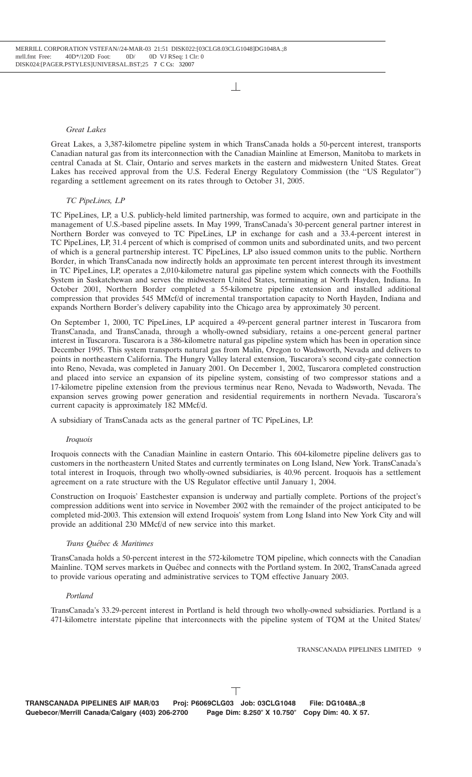## *Great Lakes*

Great Lakes, a 3,387-kilometre pipeline system in which TransCanada holds a 50-percent interest, transports Canadian natural gas from its interconnection with the Canadian Mainline at Emerson, Manitoba to markets in central Canada at St. Clair, Ontario and serves markets in the eastern and midwestern United States. Great Lakes has received approval from the U.S. Federal Energy Regulatory Commission (the ''US Regulator'') regarding a settlement agreement on its rates through to October 31, 2005.

## *TC PipeLines, LP*

TC PipeLines, LP, a U.S. publicly-held limited partnership, was formed to acquire, own and participate in the management of U.S.-based pipeline assets. In May 1999, TransCanada's 30-percent general partner interest in Northern Border was conveyed to TC PipeLines, LP in exchange for cash and a 33.4-percent interest in TC PipeLines, LP, 31.4 percent of which is comprised of common units and subordinated units, and two percent of which is a general partnership interest. TC PipeLines, LP also issued common units to the public. Northern Border, in which TransCanada now indirectly holds an approximate ten percent interest through its investment in TC PipeLines, LP, operates a 2,010-kilometre natural gas pipeline system which connects with the Foothills System in Saskatchewan and serves the midwestern United States, terminating at North Hayden, Indiana. In October 2001, Northern Border completed a 55-kilometre pipeline extension and installed additional compression that provides 545 MMcf/d of incremental transportation capacity to North Hayden, Indiana and expands Northern Border's delivery capability into the Chicago area by approximately 30 percent.

On September 1, 2000, TC PipeLines, LP acquired a 49-percent general partner interest in Tuscarora from TransCanada, and TransCanada, through a wholly-owned subsidiary, retains a one-percent general partner interest in Tuscarora. Tuscarora is a 386-kilometre natural gas pipeline system which has been in operation since December 1995. This system transports natural gas from Malin, Oregon to Wadsworth, Nevada and delivers to points in northeastern California. The Hungry Valley lateral extension, Tuscarora's second city-gate connection into Reno, Nevada, was completed in January 2001. On December 1, 2002, Tuscarora completed construction and placed into service an expansion of its pipeline system, consisting of two compressor stations and a 17-kilometre pipeline extension from the previous terminus near Reno, Nevada to Wadsworth, Nevada. The expansion serves growing power generation and residential requirements in northern Nevada. Tuscarora's current capacity is approximately 182 MMcf/d.

A subsidiary of TransCanada acts as the general partner of TC PipeLines, LP.

#### *Iroquois*

Iroquois connects with the Canadian Mainline in eastern Ontario. This 604-kilometre pipeline delivers gas to customers in the northeastern United States and currently terminates on Long Island, New York. TransCanada's total interest in Iroquois, through two wholly-owned subsidiaries, is 40.96 percent. Iroquois has a settlement agreement on a rate structure with the US Regulator effective until January 1, 2004.

Construction on Iroquois' Eastchester expansion is underway and partially complete. Portions of the project's compression additions went into service in November 2002 with the remainder of the project anticipated to be completed mid-2003. This extension will extend Iroquois' system from Long Island into New York City and will provide an additional 230 MMcf/d of new service into this market.

#### *Trans Qu´ebec & Maritimes*

TransCanada holds a 50-percent interest in the 572-kilometre TQM pipeline, which connects with the Canadian Mainline. TOM serves markets in Québec and connects with the Portland system. In 2002, TransCanada agreed to provide various operating and administrative services to TQM effective January 2003.

## *Portland*

TransCanada's 33.29-percent interest in Portland is held through two wholly-owned subsidiaries. Portland is a 471-kilometre interstate pipeline that interconnects with the pipeline system of TQM at the United States/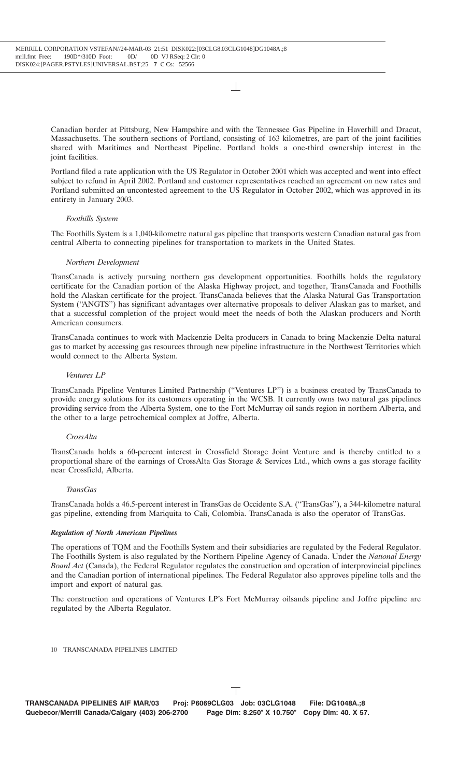Canadian border at Pittsburg, New Hampshire and with the Tennessee Gas Pipeline in Haverhill and Dracut, Massachusetts. The southern sections of Portland, consisting of 163 kilometres, are part of the joint facilities shared with Maritimes and Northeast Pipeline. Portland holds a one-third ownership interest in the joint facilities.

Portland filed a rate application with the US Regulator in October 2001 which was accepted and went into effect subject to refund in April 2002. Portland and customer representatives reached an agreement on new rates and Portland submitted an uncontested agreement to the US Regulator in October 2002, which was approved in its entirety in January 2003.

## *Foothills System*

The Foothills System is a 1,040-kilometre natural gas pipeline that transports western Canadian natural gas from central Alberta to connecting pipelines for transportation to markets in the United States.

## *Northern Development*

TransCanada is actively pursuing northern gas development opportunities. Foothills holds the regulatory certificate for the Canadian portion of the Alaska Highway project, and together, TransCanada and Foothills hold the Alaskan certificate for the project. TransCanada believes that the Alaska Natural Gas Transportation System (''ANGTS'') has significant advantages over alternative proposals to deliver Alaskan gas to market, and that a successful completion of the project would meet the needs of both the Alaskan producers and North American consumers.

TransCanada continues to work with Mackenzie Delta producers in Canada to bring Mackenzie Delta natural gas to market by accessing gas resources through new pipeline infrastructure in the Northwest Territories which would connect to the Alberta System.

## *Ventures LP*

TransCanada Pipeline Ventures Limited Partnership (''Ventures LP'') is a business created by TransCanada to provide energy solutions for its customers operating in the WCSB. It currently owns two natural gas pipelines providing service from the Alberta System, one to the Fort McMurray oil sands region in northern Alberta, and the other to a large petrochemical complex at Joffre, Alberta.

## *CrossAlta*

TransCanada holds a 60-percent interest in Crossfield Storage Joint Venture and is thereby entitled to a proportional share of the earnings of CrossAlta Gas Storage & Services Ltd., which owns a gas storage facility near Crossfield, Alberta.

#### *TransGas*

TransCanada holds a 46.5-percent interest in TransGas de Occidente S.A. (''TransGas''), a 344-kilometre natural gas pipeline, extending from Mariquita to Cali, Colombia. TransCanada is also the operator of TransGas.

#### *Regulation of North American Pipelines*

The operations of TQM and the Foothills System and their subsidiaries are regulated by the Federal Regulator. The Foothills System is also regulated by the Northern Pipeline Agency of Canada. Under the *National Energy Board Act* (Canada), the Federal Regulator regulates the construction and operation of interprovincial pipelines and the Canadian portion of international pipelines. The Federal Regulator also approves pipeline tolls and the import and export of natural gas.

The construction and operations of Ventures LP's Fort McMurray oilsands pipeline and Joffre pipeline are regulated by the Alberta Regulator.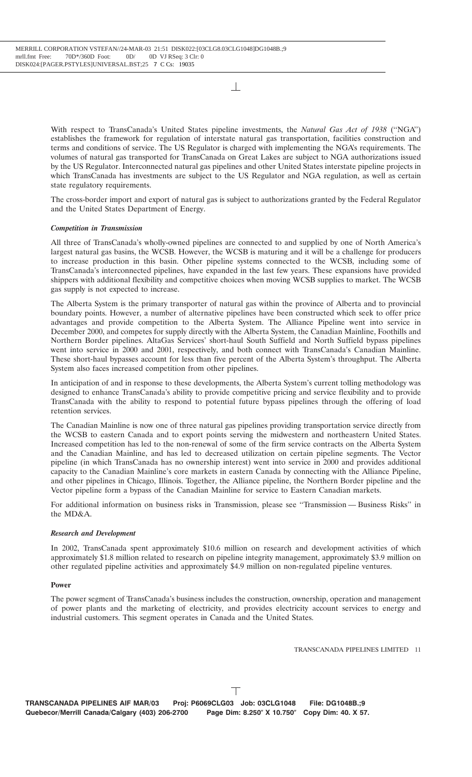With respect to TransCanada's United States pipeline investments, the *Natural Gas Act of 1938* (''NGA'') establishes the framework for regulation of interstate natural gas transportation, facilities construction and terms and conditions of service. The US Regulator is charged with implementing the NGA's requirements. The volumes of natural gas transported for TransCanada on Great Lakes are subject to NGA authorizations issued by the US Regulator. Interconnected natural gas pipelines and other United States interstate pipeline projects in which TransCanada has investments are subject to the US Regulator and NGA regulation, as well as certain state regulatory requirements.

The cross-border import and export of natural gas is subject to authorizations granted by the Federal Regulator and the United States Department of Energy.

## *Competition in Transmission*

All three of TransCanada's wholly-owned pipelines are connected to and supplied by one of North America's largest natural gas basins, the WCSB. However, the WCSB is maturing and it will be a challenge for producers to increase production in this basin. Other pipeline systems connected to the WCSB, including some of TransCanada's interconnected pipelines, have expanded in the last few years. These expansions have provided shippers with additional flexibility and competitive choices when moving WCSB supplies to market. The WCSB gas supply is not expected to increase.

The Alberta System is the primary transporter of natural gas within the province of Alberta and to provincial boundary points. However, a number of alternative pipelines have been constructed which seek to offer price advantages and provide competition to the Alberta System. The Alliance Pipeline went into service in December 2000, and competes for supply directly with the Alberta System, the Canadian Mainline, Foothills and Northern Border pipelines. AltaGas Services' short-haul South Suffield and North Suffield bypass pipelines went into service in 2000 and 2001, respectively, and both connect with TransCanada's Canadian Mainline. These short-haul bypasses account for less than five percent of the Alberta System's throughput. The Alberta System also faces increased competition from other pipelines.

In anticipation of and in response to these developments, the Alberta System's current tolling methodology was designed to enhance TransCanada's ability to provide competitive pricing and service flexibility and to provide TransCanada with the ability to respond to potential future bypass pipelines through the offering of load retention services.

The Canadian Mainline is now one of three natural gas pipelines providing transportation service directly from the WCSB to eastern Canada and to export points serving the midwestern and northeastern United States. Increased competition has led to the non-renewal of some of the firm service contracts on the Alberta System and the Canadian Mainline, and has led to decreased utilization on certain pipeline segments. The Vector pipeline (in which TransCanada has no ownership interest) went into service in 2000 and provides additional capacity to the Canadian Mainline's core markets in eastern Canada by connecting with the Alliance Pipeline, and other pipelines in Chicago, Illinois. Together, the Alliance pipeline, the Northern Border pipeline and the Vector pipeline form a bypass of the Canadian Mainline for service to Eastern Canadian markets.

For additional information on business risks in Transmission, please see ''Transmission — Business Risks'' in the MD&A.

#### *Research and Development*

In 2002, TransCanada spent approximately \$10.6 million on research and development activities of which approximately \$1.8 million related to research on pipeline integrity management, approximately \$3.9 million on other regulated pipeline activities and approximately \$4.9 million on non-regulated pipeline ventures.

#### **Power**

The power segment of TransCanada's business includes the construction, ownership, operation and management of power plants and the marketing of electricity, and provides electricity account services to energy and industrial customers. This segment operates in Canada and the United States.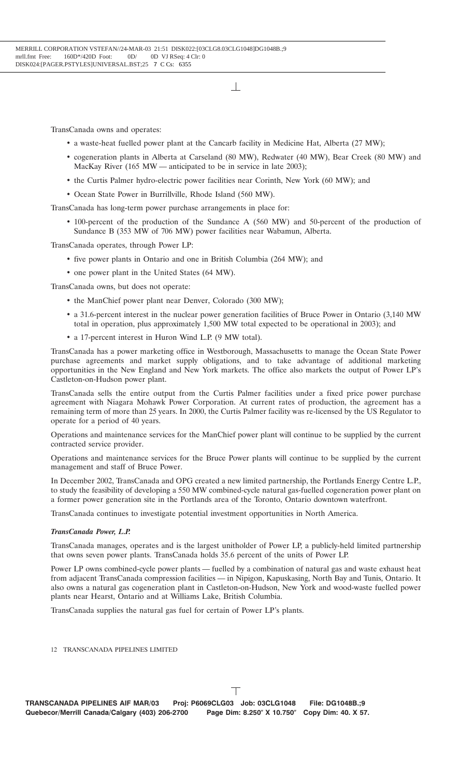TransCanada owns and operates:

- a waste-heat fuelled power plant at the Cancarb facility in Medicine Hat, Alberta (27 MW);
- cogeneration plants in Alberta at Carseland (80 MW), Redwater (40 MW), Bear Creek (80 MW) and MacKay River (165 MW — anticipated to be in service in late 2003);
- the Curtis Palmer hydro-electric power facilities near Corinth, New York (60 MW); and
- Ocean State Power in Burrillville, Rhode Island (560 MW).

TransCanada has long-term power purchase arrangements in place for:

• 100-percent of the production of the Sundance A (560 MW) and 50-percent of the production of Sundance B (353 MW of 706 MW) power facilities near Wabamun, Alberta.

TransCanada operates, through Power LP:

- five power plants in Ontario and one in British Columbia (264 MW); and
- one power plant in the United States (64 MW).

TransCanada owns, but does not operate:

- the ManChief power plant near Denver, Colorado (300 MW);
- a 31.6-percent interest in the nuclear power generation facilities of Bruce Power in Ontario (3,140 MW total in operation, plus approximately 1,500 MW total expected to be operational in 2003); and
- a 17-percent interest in Huron Wind L.P. (9 MW total).

TransCanada has a power marketing office in Westborough, Massachusetts to manage the Ocean State Power purchase agreements and market supply obligations, and to take advantage of additional marketing opportunities in the New England and New York markets. The office also markets the output of Power LP's Castleton-on-Hudson power plant.

TransCanada sells the entire output from the Curtis Palmer facilities under a fixed price power purchase agreement with Niagara Mohawk Power Corporation. At current rates of production, the agreement has a remaining term of more than 25 years. In 2000, the Curtis Palmer facility was re-licensed by the US Regulator to operate for a period of 40 years.

Operations and maintenance services for the ManChief power plant will continue to be supplied by the current contracted service provider.

Operations and maintenance services for the Bruce Power plants will continue to be supplied by the current management and staff of Bruce Power.

In December 2002, TransCanada and OPG created a new limited partnership, the Portlands Energy Centre L.P., to study the feasibility of developing a 550 MW combined-cycle natural gas-fuelled cogeneration power plant on a former power generation site in the Portlands area of the Toronto, Ontario downtown waterfront.

TransCanada continues to investigate potential investment opportunities in North America.

#### *TransCanada Power, L.P.*

TransCanada manages, operates and is the largest unitholder of Power LP, a publicly-held limited partnership that owns seven power plants. TransCanada holds 35.6 percent of the units of Power LP.

Power LP owns combined-cycle power plants — fuelled by a combination of natural gas and waste exhaust heat from adjacent TransCanada compression facilities — in Nipigon, Kapuskasing, North Bay and Tunis, Ontario. It also owns a natural gas cogeneration plant in Castleton-on-Hudson, New York and wood-waste fuelled power plants near Hearst, Ontario and at Williams Lake, British Columbia.

TransCanada supplies the natural gas fuel for certain of Power LP's plants.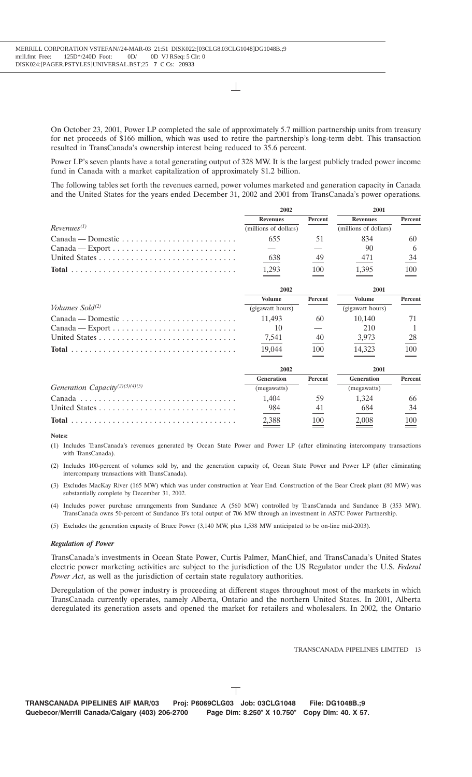On October 23, 2001, Power LP completed the sale of approximately 5.7 million partnership units from treasury for net proceeds of \$166 million, which was used to retire the partnership's long-term debt. This transaction resulted in TransCanada's ownership interest being reduced to 35.6 percent.

Power LP's seven plants have a total generating output of 328 MW. It is the largest publicly traded power income fund in Canada with a market capitalization of approximately \$1.2 billion.

The following tables set forth the revenues earned, power volumes marketed and generation capacity in Canada and the United States for the years ended December 31, 2002 and 2001 from TransCanada's power operations.

|                                                                           | 2002                  |         | 2001                  |                |  |
|---------------------------------------------------------------------------|-----------------------|---------|-----------------------|----------------|--|
|                                                                           | <b>Revenues</b>       | Percent | <b>Revenues</b>       | <b>Percent</b> |  |
| $Revenues^{(1)}$                                                          | (millions of dollars) |         | (millions of dollars) |                |  |
| $Canada - Domestic \dots \dots \dots \dots \dots \dots \dots \dots \dots$ | 655                   | 51      | 834                   | 60             |  |
| $Canada - Export \ldots \ldots \ldots \ldots \ldots \ldots \ldots$        |                       |         | 90                    | 6              |  |
|                                                                           | 638                   | 49      | 471                   | 34             |  |
|                                                                           | 1,293                 | 100     | 1,395                 | 100            |  |
|                                                                           | 2002                  |         | 2001                  |                |  |
|                                                                           | <b>Volume</b>         | Percent | <b>Volume</b>         | <b>Percent</b> |  |
| Volumes Sold $(2)$                                                        | (gigawatt hours)      |         | (gigawatt hours)      |                |  |
|                                                                           | 11.493                | 60      | 10.140                | 71             |  |
| $Canada - Expert \dots \dots \dots \dots \dots \dots \dots \dots \dots$   | 10                    |         | 210                   |                |  |
|                                                                           |                       |         |                       |                |  |
|                                                                           | 7,541                 | 40      | 3,973                 | 28             |  |

|                                             | 2002              |                | 2001              |         |
|---------------------------------------------|-------------------|----------------|-------------------|---------|
|                                             | <b>Generation</b> | <b>Percent</b> | <b>Generation</b> | Percent |
| Generation Capacity <sup>(2)(3)(4)(5)</sup> | (megawatts)       |                | (megawatts)       |         |
|                                             | 1.404             | 59             | 1.324             | hh      |
|                                             | 984               |                | 684               |         |
|                                             | 2.388             | 100            | 2.008             | 100     |

**Notes:**

- (1) Includes TransCanada's revenues generated by Ocean State Power and Power LP (after eliminating intercompany transactions with TransCanada).
- (2) Includes 100-percent of volumes sold by, and the generation capacity of, Ocean State Power and Power LP (after eliminating intercompany transactions with TransCanada).
- (3) Excludes MacKay River (165 MW) which was under construction at Year End. Construction of the Bear Creek plant (80 MW) was substantially complete by December 31, 2002.
- (4) Includes power purchase arrangements from Sundance A (560 MW) controlled by TransCanada and Sundance B (353 MW). TransCanada owns 50-percent of Sundance B's total output of 706 MW through an investment in ASTC Power Partnership.
- (5) Excludes the generation capacity of Bruce Power (3,140 MW, plus 1,538 MW anticipated to be on-line mid-2003).

#### *Regulation of Power*

TransCanada's investments in Ocean State Power, Curtis Palmer, ManChief, and TransCanada's United States electric power marketing activities are subject to the jurisdiction of the US Regulator under the U.S. *Federal Power Act*, as well as the jurisdiction of certain state regulatory authorities.

Deregulation of the power industry is proceeding at different stages throughout most of the markets in which TransCanada currently operates, namely Alberta, Ontario and the northern United States. In 2001, Alberta deregulated its generation assets and opened the market for retailers and wholesalers. In 2002, the Ontario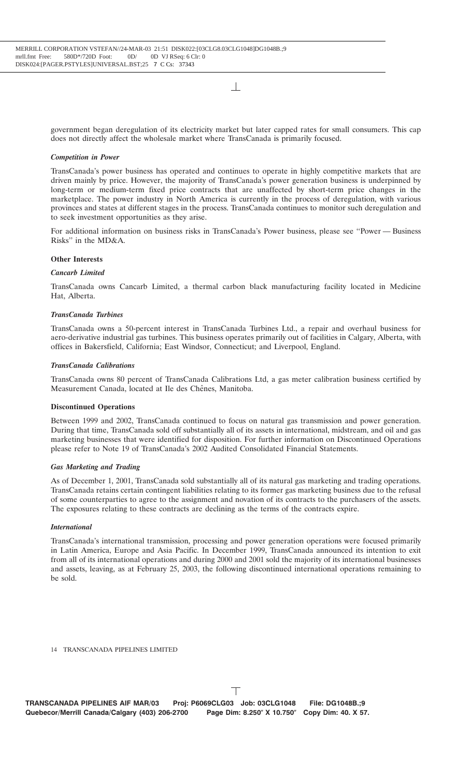government began deregulation of its electricity market but later capped rates for small consumers. This cap does not directly affect the wholesale market where TransCanada is primarily focused.

#### *Competition in Power*

TransCanada's power business has operated and continues to operate in highly competitive markets that are driven mainly by price. However, the majority of TransCanada's power generation business is underpinned by long-term or medium-term fixed price contracts that are unaffected by short-term price changes in the marketplace. The power industry in North America is currently in the process of deregulation, with various provinces and states at different stages in the process. TransCanada continues to monitor such deregulation and to seek investment opportunities as they arise.

For additional information on business risks in TransCanada's Power business, please see ''Power — Business Risks'' in the MD&A.

#### **Other Interests**

#### *Cancarb Limited*

TransCanada owns Cancarb Limited, a thermal carbon black manufacturing facility located in Medicine Hat, Alberta.

#### *TransCanada Turbines*

TransCanada owns a 50-percent interest in TransCanada Turbines Ltd., a repair and overhaul business for aero-derivative industrial gas turbines. This business operates primarily out of facilities in Calgary, Alberta, with offices in Bakersfield, California; East Windsor, Connecticut; and Liverpool, England.

#### *TransCanada Calibrations*

TransCanada owns 80 percent of TransCanada Calibrations Ltd, a gas meter calibration business certified by Measurement Canada, located at Ile des Chênes, Manitoba.

#### **Discontinued Operations**

Between 1999 and 2002, TransCanada continued to focus on natural gas transmission and power generation. During that time, TransCanada sold off substantially all of its assets in international, midstream, and oil and gas marketing businesses that were identified for disposition. For further information on Discontinued Operations please refer to Note 19 of TransCanada's 2002 Audited Consolidated Financial Statements.

#### *Gas Marketing and Trading*

As of December 1, 2001, TransCanada sold substantially all of its natural gas marketing and trading operations. TransCanada retains certain contingent liabilities relating to its former gas marketing business due to the refusal of some counterparties to agree to the assignment and novation of its contracts to the purchasers of the assets. The exposures relating to these contracts are declining as the terms of the contracts expire.

#### *International*

TransCanada's international transmission, processing and power generation operations were focused primarily in Latin America, Europe and Asia Pacific. In December 1999, TransCanada announced its intention to exit from all of its international operations and during 2000 and 2001 sold the majority of its international businesses and assets, leaving, as at February 25, 2003, the following discontinued international operations remaining to be sold.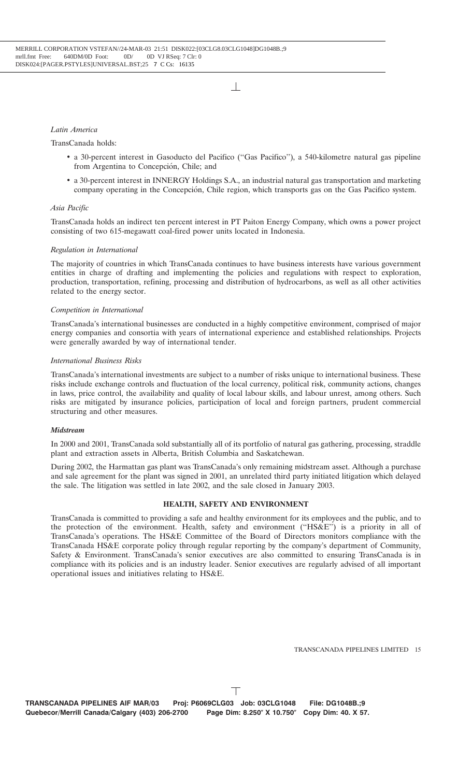## *Latin America*

## TransCanada holds:

- a 30-percent interest in Gasoducto del Pacifico (''Gas Pacifico''), a 540-kilometre natural gas pipeline from Argentina to Concepción, Chile; and
- a 30-percent interest in INNERGY Holdings S.A., an industrial natural gas transportation and marketing company operating in the Concepción, Chile region, which transports gas on the Gas Pacifico system.

## *Asia Pacific*

TransCanada holds an indirect ten percent interest in PT Paiton Energy Company, which owns a power project consisting of two 615-megawatt coal-fired power units located in Indonesia.

## *Regulation in International*

The majority of countries in which TransCanada continues to have business interests have various government entities in charge of drafting and implementing the policies and regulations with respect to exploration, production, transportation, refining, processing and distribution of hydrocarbons, as well as all other activities related to the energy sector.

## *Competition in International*

TransCanada's international businesses are conducted in a highly competitive environment, comprised of major energy companies and consortia with years of international experience and established relationships. Projects were generally awarded by way of international tender.

## *International Business Risks*

TransCanada's international investments are subject to a number of risks unique to international business. These risks include exchange controls and fluctuation of the local currency, political risk, community actions, changes in laws, price control, the availability and quality of local labour skills, and labour unrest, among others. Such risks are mitigated by insurance policies, participation of local and foreign partners, prudent commercial structuring and other measures.

#### *Midstream*

In 2000 and 2001, TransCanada sold substantially all of its portfolio of natural gas gathering, processing, straddle plant and extraction assets in Alberta, British Columbia and Saskatchewan.

During 2002, the Harmattan gas plant was TransCanada's only remaining midstream asset. Although a purchase and sale agreement for the plant was signed in 2001, an unrelated third party initiated litigation which delayed the sale. The litigation was settled in late 2002, and the sale closed in January 2003.

#### **HEALTH, SAFETY AND ENVIRONMENT**

TransCanada is committed to providing a safe and healthy environment for its employees and the public, and to the protection of the environment. Health, safety and environment ("HS&E") is a priority in all of TransCanada's operations. The HS&E Committee of the Board of Directors monitors compliance with the TransCanada HS&E corporate policy through regular reporting by the company's department of Community, Safety & Environment. TransCanada's senior executives are also committed to ensuring TransCanada is in compliance with its policies and is an industry leader. Senior executives are regularly advised of all important operational issues and initiatives relating to HS&E.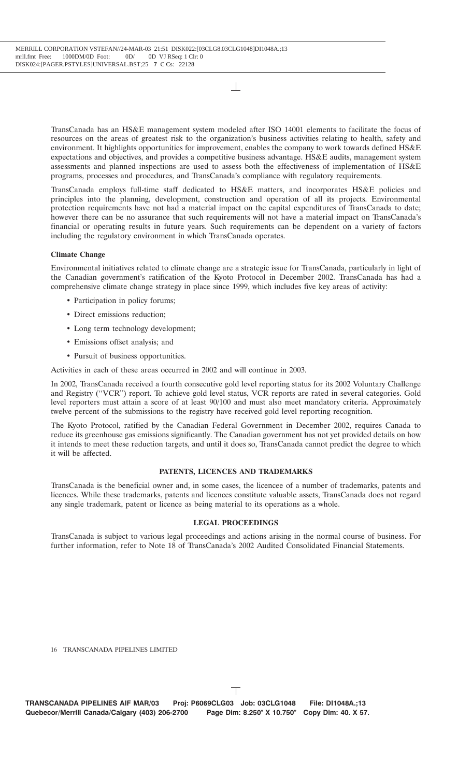TransCanada has an HS&E management system modeled after ISO 14001 elements to facilitate the focus of resources on the areas of greatest risk to the organization's business activities relating to health, safety and environment. It highlights opportunities for improvement, enables the company to work towards defined HS&E expectations and objectives, and provides a competitive business advantage. HS&E audits, management system assessments and planned inspections are used to assess both the effectiveness of implementation of HS&E programs, processes and procedures, and TransCanada's compliance with regulatory requirements.

TransCanada employs full-time staff dedicated to HS&E matters, and incorporates HS&E policies and principles into the planning, development, construction and operation of all its projects. Environmental protection requirements have not had a material impact on the capital expenditures of TransCanada to date; however there can be no assurance that such requirements will not have a material impact on TransCanada's financial or operating results in future years. Such requirements can be dependent on a variety of factors including the regulatory environment in which TransCanada operates.

#### **Climate Change**

Environmental initiatives related to climate change are a strategic issue for TransCanada, particularly in light of the Canadian government's ratification of the Kyoto Protocol in December 2002. TransCanada has had a comprehensive climate change strategy in place since 1999, which includes five key areas of activity:

- Participation in policy forums:
- Direct emissions reduction:
- Long term technology development:
- Emissions offset analysis; and
- Pursuit of business opportunities.

Activities in each of these areas occurred in 2002 and will continue in 2003.

In 2002, TransCanada received a fourth consecutive gold level reporting status for its 2002 Voluntary Challenge and Registry (''VCR'') report. To achieve gold level status, VCR reports are rated in several categories. Gold level reporters must attain a score of at least 90/100 and must also meet mandatory criteria. Approximately twelve percent of the submissions to the registry have received gold level reporting recognition.

The Kyoto Protocol, ratified by the Canadian Federal Government in December 2002, requires Canada to reduce its greenhouse gas emissions significantly. The Canadian government has not yet provided details on how it intends to meet these reduction targets, and until it does so, TransCanada cannot predict the degree to which it will be affected.

#### **PATENTS, LICENCES AND TRADEMARKS**

TransCanada is the beneficial owner and, in some cases, the licencee of a number of trademarks, patents and licences. While these trademarks, patents and licences constitute valuable assets, TransCanada does not regard any single trademark, patent or licence as being material to its operations as a whole.

#### **LEGAL PROCEEDINGS**

TransCanada is subject to various legal proceedings and actions arising in the normal course of business. For further information, refer to Note 18 of TransCanada's 2002 Audited Consolidated Financial Statements.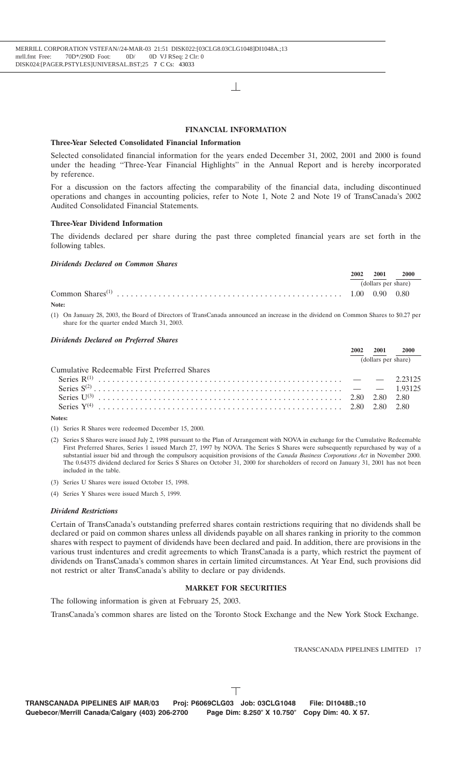### **FINANCIAL INFORMATION**

#### **Three-Year Selected Consolidated Financial Information**

Selected consolidated financial information for the years ended December 31, 2002, 2001 and 2000 is found under the heading ''Three-Year Financial Highlights'' in the Annual Report and is hereby incorporated by reference.

For a discussion on the factors affecting the comparability of the financial data, including discontinued operations and changes in accounting policies, refer to Note 1, Note 2 and Note 19 of TransCanada's 2002 Audited Consolidated Financial Statements.

#### **Three-Year Dividend Information**

The dividends declared per share during the past three completed financial years are set forth in the following tables.

#### *Dividends Declared on Common Shares*

| 2002 | 2001                | 2000 |
|------|---------------------|------|
|      | (dollars per share) |      |
|      |                     |      |

**Note:**

(1) On January 28, 2003, the Board of Directors of TransCanada announced an increase in the dividend on Common Shares to \$0.27 per share for the quarter ended March 31, 2003.

#### *Dividends Declared on Preferred Shares*

|                                              | 2001 |                     |
|----------------------------------------------|------|---------------------|
|                                              |      | (dollars per share) |
| Cumulative Redeemable First Preferred Shares |      |                     |
|                                              |      |                     |
|                                              |      |                     |
|                                              |      |                     |
|                                              |      |                     |

#### **Notes:**

(1) Series R Shares were redeemed December 15, 2000.

- (2) Series S Shares were issued July 2, 1998 pursuant to the Plan of Arrangement with NOVA in exchange for the Cumulative Redeemable First Preferred Shares, Series 1 issued March 27, 1997 by NOVA. The Series S Shares were subsequently repurchased by way of a substantial issuer bid and through the compulsory acquisition provisions of the *Canada Business Corporations Act* in November 2000. The 0.64375 dividend declared for Series S Shares on October 31, 2000 for shareholders of record on January 31, 2001 has not been included in the table.
- (3) Series U Shares were issued October 15, 1998.
- (4) Series Y Shares were issued March 5, 1999.

#### *Dividend Restrictions*

Certain of TransCanada's outstanding preferred shares contain restrictions requiring that no dividends shall be declared or paid on common shares unless all dividends payable on all shares ranking in priority to the common shares with respect to payment of dividends have been declared and paid. In addition, there are provisions in the various trust indentures and credit agreements to which TransCanada is a party, which restrict the payment of dividends on TransCanada's common shares in certain limited circumstances. At Year End, such provisions did not restrict or alter TransCanada's ability to declare or pay dividends.

## **MARKET FOR SECURITIES**

The following information is given at February 25, 2003.

TransCanada's common shares are listed on the Toronto Stock Exchange and the New York Stock Exchange.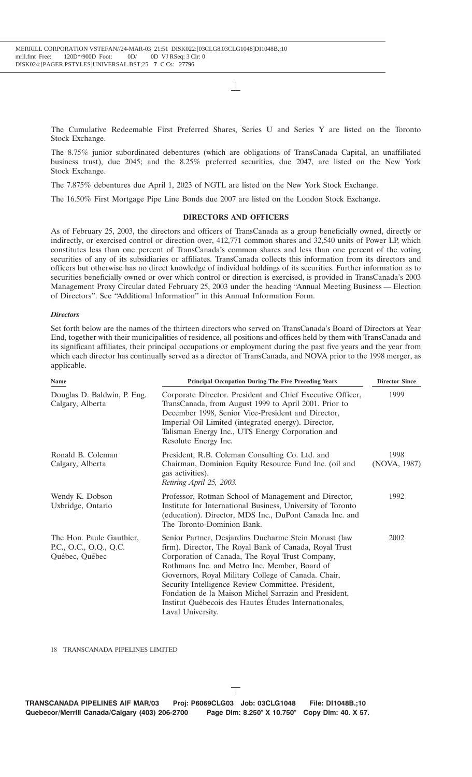The Cumulative Redeemable First Preferred Shares, Series U and Series Y are listed on the Toronto Stock Exchange.

The 8.75% junior subordinated debentures (which are obligations of TransCanada Capital, an unaffiliated business trust), due 2045; and the 8.25% preferred securities, due 2047, are listed on the New York Stock Exchange.

The 7.875% debentures due April 1, 2023 of NGTL are listed on the New York Stock Exchange.

The 16.50% First Mortgage Pipe Line Bonds due 2007 are listed on the London Stock Exchange.

## **DIRECTORS AND OFFICERS**

As of February 25, 2003, the directors and officers of TransCanada as a group beneficially owned, directly or indirectly, or exercised control or direction over, 412,771 common shares and 32,540 units of Power LP, which constitutes less than one percent of TransCanada's common shares and less than one percent of the voting securities of any of its subsidiaries or affiliates. TransCanada collects this information from its directors and officers but otherwise has no direct knowledge of individual holdings of its securities. Further information as to securities beneficially owned or over which control or direction is exercised, is provided in TransCanada's 2003 Management Proxy Circular dated February 25, 2003 under the heading ''Annual Meeting Business — Election of Directors''. See ''Additional Information'' in this Annual Information Form.

#### *Directors*

Set forth below are the names of the thirteen directors who served on TransCanada's Board of Directors at Year End, together with their municipalities of residence, all positions and offices held by them with TransCanada and its significant affiliates, their principal occupations or employment during the past five years and the year from which each director has continually served as a director of TransCanada, and NOVA prior to the 1998 merger, as applicable.

| Name                                                                 | <b>Principal Occupation During The Five Preceding Years</b>                                                                                                                                                                                                                                                                                                                                                                                                             | <b>Director Since</b> |
|----------------------------------------------------------------------|-------------------------------------------------------------------------------------------------------------------------------------------------------------------------------------------------------------------------------------------------------------------------------------------------------------------------------------------------------------------------------------------------------------------------------------------------------------------------|-----------------------|
| Douglas D. Baldwin, P. Eng.<br>Calgary, Alberta                      | Corporate Director. President and Chief Executive Officer,<br>TransCanada, from August 1999 to April 2001. Prior to<br>December 1998, Senior Vice-President and Director,<br>Imperial Oil Limited (integrated energy). Director,<br>Talisman Energy Inc., UTS Energy Corporation and<br>Resolute Energy Inc.                                                                                                                                                            | 1999                  |
| Ronald B. Coleman<br>Calgary, Alberta                                | President, R.B. Coleman Consulting Co. Ltd. and<br>Chairman, Dominion Equity Resource Fund Inc. (oil and<br>gas activities).<br>Retiring April 25, 2003.                                                                                                                                                                                                                                                                                                                | 1998<br>(NOVA, 1987)  |
| Wendy K. Dobson<br>Uxbridge, Ontario                                 | Professor, Rotman School of Management and Director,<br>Institute for International Business, University of Toronto<br>(education). Director, MDS Inc., DuPont Canada Inc. and<br>The Toronto-Dominion Bank.                                                                                                                                                                                                                                                            | 1992                  |
| The Hon. Paule Gauthier,<br>P.C., O.C., O.Q., Q.C.<br>Québec, Québec | Senior Partner, Desjardins Ducharme Stein Monast (law<br>firm). Director, The Royal Bank of Canada, Royal Trust<br>Corporation of Canada, The Royal Trust Company,<br>Rothmans Inc. and Metro Inc. Member, Board of<br>Governors, Royal Military College of Canada. Chair,<br>Security Intelligence Review Committee. President,<br>Fondation de la Maison Michel Sarrazin and President,<br>Institut Québecois des Hautes Etudes Internationales,<br>Laval University. | 2002                  |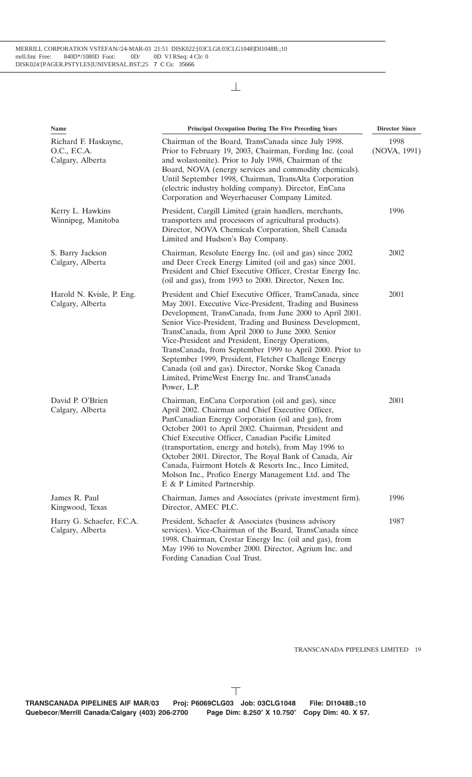| Name                                                     | <b>Principal Occupation During The Five Preceding Years</b>                                                                                                                                                                                                                                                                                                                                                                                                                                                                                                                                      | <b>Director Since</b> |
|----------------------------------------------------------|--------------------------------------------------------------------------------------------------------------------------------------------------------------------------------------------------------------------------------------------------------------------------------------------------------------------------------------------------------------------------------------------------------------------------------------------------------------------------------------------------------------------------------------------------------------------------------------------------|-----------------------|
| Richard F. Haskayne,<br>O.C., F.C.A.<br>Calgary, Alberta | Chairman of the Board, TransCanada since July 1998.<br>Prior to February 19, 2003, Chairman, Fording Inc. (coal<br>and wolastonite). Prior to July 1998, Chairman of the<br>Board, NOVA (energy services and commodity chemicals).<br>Until September 1998, Chairman, TransAlta Corporation<br>(electric industry holding company). Director, EnCana<br>Corporation and Weyerhaeuser Company Limited.                                                                                                                                                                                            | 1998<br>(NOVA, 1991)  |
| Kerry L. Hawkins<br>Winnipeg, Manitoba                   | President, Cargill Limited (grain handlers, merchants,<br>transporters and processors of agricultural products).<br>Director, NOVA Chemicals Corporation, Shell Canada<br>Limited and Hudson's Bay Company.                                                                                                                                                                                                                                                                                                                                                                                      | 1996                  |
| S. Barry Jackson<br>Calgary, Alberta                     | Chairman, Resolute Energy Inc. (oil and gas) since 2002<br>and Deer Creek Energy Limited (oil and gas) since 2001.<br>President and Chief Executive Officer, Crestar Energy Inc.<br>(oil and gas), from 1993 to 2000. Director, Nexen Inc.                                                                                                                                                                                                                                                                                                                                                       | 2002                  |
| Harold N. Kvisle, P. Eng.<br>Calgary, Alberta            | President and Chief Executive Officer, TransCanada, since<br>May 2001. Executive Vice-President, Trading and Business<br>Development, TransCanada, from June 2000 to April 2001.<br>Senior Vice-President, Trading and Business Development,<br>TransCanada, from April 2000 to June 2000. Senior<br>Vice-President and President, Energy Operations,<br>TransCanada, from September 1999 to April 2000. Prior to<br>September 1999, President, Fletcher Challenge Energy<br>Canada (oil and gas). Director, Norske Skog Canada<br>Limited, PrimeWest Energy Inc. and TransCanada<br>Power, L.P. | 2001                  |
| David P. O'Brien<br>Calgary, Alberta                     | Chairman, EnCana Corporation (oil and gas), since<br>April 2002. Chairman and Chief Executive Officer,<br>PanCanadian Energy Corporation (oil and gas), from<br>October 2001 to April 2002. Chairman, President and<br>Chief Executive Officer, Canadian Pacific Limited<br>(transportation, energy and hotels), from May 1996 to<br>October 2001. Director, The Royal Bank of Canada, Air<br>Canada, Fairmont Hotels & Resorts Inc., Inco Limited,<br>Molson Inc., Profico Energy Management Ltd. and The<br>E & P Limited Partnership.                                                         | 2001                  |
| James R. Paul<br>Kingwood, Texas                         | Chairman, James and Associates (private investment firm).<br>Director, AMEC PLC.                                                                                                                                                                                                                                                                                                                                                                                                                                                                                                                 | 1996                  |
| Harry G. Schaefer, F.C.A.<br>Calgary, Alberta            | President, Schaefer & Associates (business advisory<br>services). Vice-Chairman of the Board, TransCanada since<br>1998. Chairman, Crestar Energy Inc. (oil and gas), from<br>May 1996 to November 2000. Director, Agrium Inc. and<br>Fording Canadian Coal Trust.                                                                                                                                                                                                                                                                                                                               | 1987                  |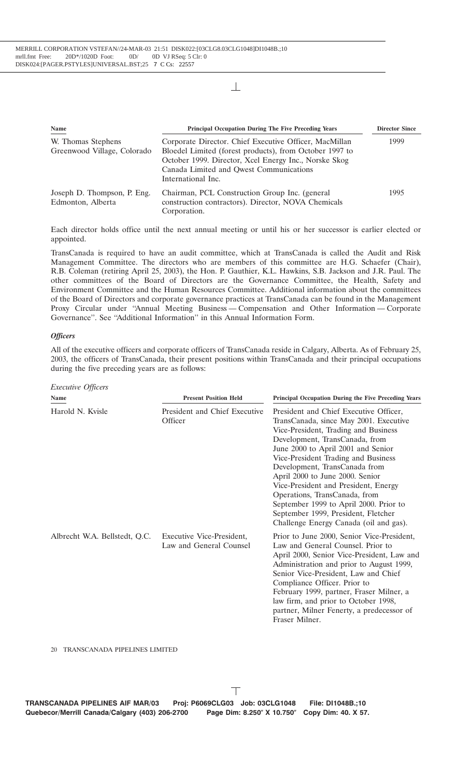| Name                                              | <b>Principal Occupation During The Five Preceding Years</b>                                                                                                                                                                                 | <b>Director Since</b> |
|---------------------------------------------------|---------------------------------------------------------------------------------------------------------------------------------------------------------------------------------------------------------------------------------------------|-----------------------|
| W. Thomas Stephens<br>Greenwood Village, Colorado | Corporate Director. Chief Executive Officer, MacMillan<br>Bloedel Limited (forest products), from October 1997 to<br>October 1999. Director, Xcel Energy Inc., Norske Skog<br>Canada Limited and Qwest Communications<br>International Inc. | 1999                  |
| Joseph D. Thompson, P. Eng.<br>Edmonton, Alberta  | Chairman, PCL Construction Group Inc. (general<br>construction contractors). Director, NOVA Chemicals<br>Corporation.                                                                                                                       | 1995                  |

Each director holds office until the next annual meeting or until his or her successor is earlier elected or appointed.

TransCanada is required to have an audit committee, which at TransCanada is called the Audit and Risk Management Committee. The directors who are members of this committee are H.G. Schaefer (Chair), R.B. Coleman (retiring April 25, 2003), the Hon. P. Gauthier, K.L. Hawkins, S.B. Jackson and J.R. Paul. The other committees of the Board of Directors are the Governance Committee, the Health, Safety and Environment Committee and the Human Resources Committee. Additional information about the committees of the Board of Directors and corporate governance practices at TransCanada can be found in the Management Proxy Circular under ''Annual Meeting Business — Compensation and Other Information — Corporate Governance''. See ''Additional Information'' in this Annual Information Form.

## *Officers*

All of the executive officers and corporate officers of TransCanada reside in Calgary, Alberta. As of February 25, 2003, the officers of TransCanada, their present positions within TransCanada and their principal occupations during the five preceding years are as follows:

| <i>Executive Officers</i> |  |
|---------------------------|--|
|                           |  |

| <b>Name</b>                   | <b>Present Position Held</b>                         | Principal Occupation During the Five Preceding Years                                                                                                                                                                                                                                                                                                                                                                                                                                                            |
|-------------------------------|------------------------------------------------------|-----------------------------------------------------------------------------------------------------------------------------------------------------------------------------------------------------------------------------------------------------------------------------------------------------------------------------------------------------------------------------------------------------------------------------------------------------------------------------------------------------------------|
| Harold N. Kvisle              | President and Chief Executive<br>Officer             | President and Chief Executive Officer,<br>TransCanada, since May 2001. Executive<br>Vice-President, Trading and Business<br>Development, TransCanada, from<br>June 2000 to April 2001 and Senior<br>Vice-President Trading and Business<br>Development, TransCanada from<br>April 2000 to June 2000. Senior<br>Vice-President and President, Energy<br>Operations, TransCanada, from<br>September 1999 to April 2000. Prior to<br>September 1999, President, Fletcher<br>Challenge Energy Canada (oil and gas). |
| Albrecht W.A. Bellstedt, Q.C. | Executive Vice-President,<br>Law and General Counsel | Prior to June 2000, Senior Vice-President,<br>Law and General Counsel. Prior to<br>April 2000, Senior Vice-President, Law and<br>Administration and prior to August 1999,<br>Senior Vice-President, Law and Chief<br>Compliance Officer. Prior to<br>February 1999, partner, Fraser Milner, a<br>law firm, and prior to October 1998,<br>partner, Milner Fenerty, a predecessor of<br>Fraser Milner.                                                                                                            |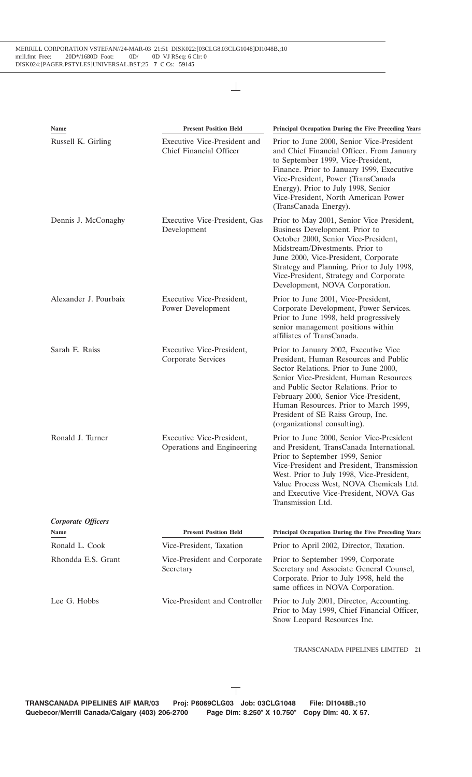| Name                  | <b>Present Position Held</b>                            | Principal Occupation During the Five Preceding Years                                                                                                                                                                                                                                                                                                              |
|-----------------------|---------------------------------------------------------|-------------------------------------------------------------------------------------------------------------------------------------------------------------------------------------------------------------------------------------------------------------------------------------------------------------------------------------------------------------------|
| Russell K. Girling    | Executive Vice-President and<br>Chief Financial Officer | Prior to June 2000, Senior Vice-President<br>and Chief Financial Officer. From January<br>to September 1999, Vice-President,<br>Finance. Prior to January 1999, Executive<br>Vice-President, Power (TransCanada<br>Energy). Prior to July 1998, Senior<br>Vice-President, North American Power<br>(TransCanada Energy).                                           |
| Dennis J. McConaghy   | Executive Vice-President, Gas<br>Development            | Prior to May 2001, Senior Vice President,<br>Business Development. Prior to<br>October 2000, Senior Vice-President,<br>Midstream/Divestments. Prior to<br>June 2000, Vice-President, Corporate<br>Strategy and Planning. Prior to July 1998,<br>Vice-President, Strategy and Corporate<br>Development, NOVA Corporation.                                          |
| Alexander J. Pourbaix | Executive Vice-President,<br>Power Development          | Prior to June 2001, Vice-President,<br>Corporate Development, Power Services.<br>Prior to June 1998, held progressively<br>senior management positions within<br>affiliates of TransCanada.                                                                                                                                                                       |
| Sarah E. Raiss        | Executive Vice-President,<br>Corporate Services         | Prior to January 2002, Executive Vice<br>President, Human Resources and Public<br>Sector Relations. Prior to June 2000,<br>Senior Vice-President, Human Resources<br>and Public Sector Relations. Prior to<br>February 2000, Senior Vice-President,<br>Human Resources. Prior to March 1999,<br>President of SE Raiss Group, Inc.<br>(organizational consulting). |
| Ronald J. Turner      | Executive Vice-President,<br>Operations and Engineering | Prior to June 2000, Senior Vice-President<br>and President, TransCanada International.<br>Prior to September 1999, Senior<br>Vice-President and President, Transmission<br>West. Prior to July 1998, Vice-President,<br>Value Process West, NOVA Chemicals Ltd.<br>and Executive Vice-President, NOVA Gas<br>Transmission Ltd.                                    |
| Corporate Officers    |                                                         |                                                                                                                                                                                                                                                                                                                                                                   |
| Name                  | <b>Present Position Held</b>                            | <b>Principal Occupation During the Five Preceding Years</b>                                                                                                                                                                                                                                                                                                       |
| Ronald L. Cook        | Vice-President, Taxation                                | Prior to April 2002, Director, Taxation.                                                                                                                                                                                                                                                                                                                          |
| Rhondda E.S. Grant    | Vice-President and Corporate<br>Secretary               | Prior to September 1999, Corporate<br>Secretary and Associate General Counsel,<br>Corporate. Prior to July 1998, held the<br>same offices in NOVA Corporation.                                                                                                                                                                                                    |
| Lee G. Hobbs          | Vice-President and Controller                           | Prior to July 2001, Director, Accounting.<br>Prior to May 1999, Chief Financial Officer,<br>Snow Leopard Resources Inc.                                                                                                                                                                                                                                           |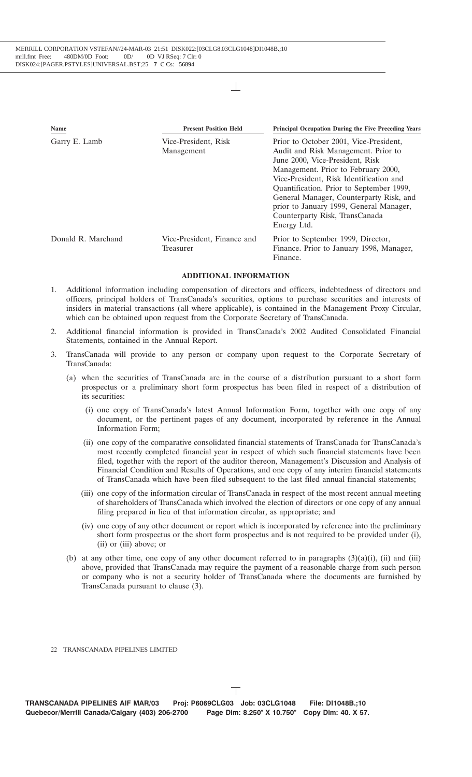| Name               | <b>Present Position Held</b>             | Principal Occupation During the Five Preceding Years                                                                                                                                                                                                                                                                                                                                  |
|--------------------|------------------------------------------|---------------------------------------------------------------------------------------------------------------------------------------------------------------------------------------------------------------------------------------------------------------------------------------------------------------------------------------------------------------------------------------|
| Garry E. Lamb      | Vice-President, Risk<br>Management       | Prior to October 2001, Vice-President,<br>Audit and Risk Management. Prior to<br>June 2000, Vice-President, Risk<br>Management. Prior to February 2000,<br>Vice-President, Risk Identification and<br>Quantification. Prior to September 1999,<br>General Manager, Counterparty Risk, and<br>prior to January 1999, General Manager,<br>Counterparty Risk, TransCanada<br>Energy Ltd. |
| Donald R. Marchand | Vice-President, Finance and<br>Treasurer | Prior to September 1999, Director,<br>Finance. Prior to January 1998, Manager,<br>Finance.                                                                                                                                                                                                                                                                                            |

## **ADDITIONAL INFORMATION**

- 1. Additional information including compensation of directors and officers, indebtedness of directors and officers, principal holders of TransCanada's securities, options to purchase securities and interests of insiders in material transactions (all where applicable), is contained in the Management Proxy Circular, which can be obtained upon request from the Corporate Secretary of TransCanada.
- 2. Additional financial information is provided in TransCanada's 2002 Audited Consolidated Financial Statements, contained in the Annual Report.
- 3. TransCanada will provide to any person or company upon request to the Corporate Secretary of TransCanada:
	- (a) when the securities of TransCanada are in the course of a distribution pursuant to a short form prospectus or a preliminary short form prospectus has been filed in respect of a distribution of its securities:
		- (i) one copy of TransCanada's latest Annual Information Form, together with one copy of any document, or the pertinent pages of any document, incorporated by reference in the Annual Information Form;
		- (ii) one copy of the comparative consolidated financial statements of TransCanada for TransCanada's most recently completed financial year in respect of which such financial statements have been filed, together with the report of the auditor thereon, Management's Discussion and Analysis of Financial Condition and Results of Operations, and one copy of any interim financial statements of TransCanada which have been filed subsequent to the last filed annual financial statements;
		- (iii) one copy of the information circular of TransCanada in respect of the most recent annual meeting of shareholders of TransCanada which involved the election of directors or one copy of any annual filing prepared in lieu of that information circular, as appropriate; and
		- (iv) one copy of any other document or report which is incorporated by reference into the preliminary short form prospectus or the short form prospectus and is not required to be provided under (i), (ii) or (iii) above; or
	- (b) at any other time, one copy of any other document referred to in paragraphs  $(3)(a)(i)$ , (ii) and (iii) above, provided that TransCanada may require the payment of a reasonable charge from such person or company who is not a security holder of TransCanada where the documents are furnished by TransCanada pursuant to clause (3).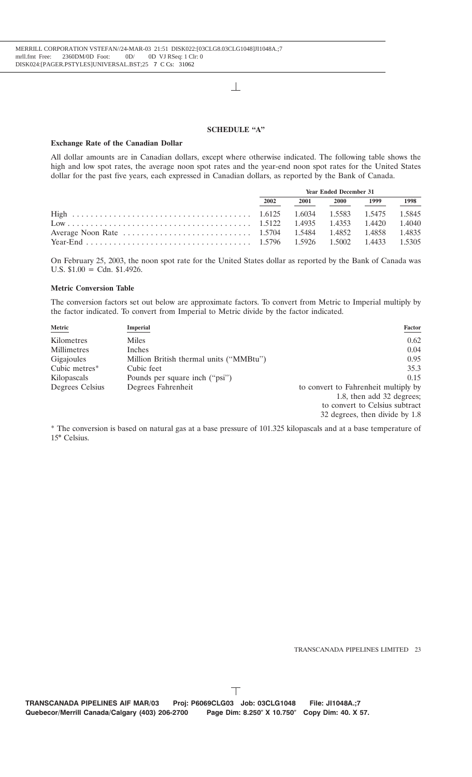#### **SCHEDULE ''A''**

#### **Exchange Rate of the Canadian Dollar**

All dollar amounts are in Canadian dollars, except where otherwise indicated. The following table shows the high and low spot rates, the average noon spot rates and the year-end noon spot rates for the United States dollar for the past five years, each expressed in Canadian dollars, as reported by the Bank of Canada.

|                                                                                           | <b>Year Ended December 31</b> |                                                                                                                                                                                                                                 |             |      |      |
|-------------------------------------------------------------------------------------------|-------------------------------|---------------------------------------------------------------------------------------------------------------------------------------------------------------------------------------------------------------------------------|-------------|------|------|
|                                                                                           | 2002                          | 2001 — 2001 — 2002 — 2003 — 2004 — 2004 — 2004 — 2005 — 2005 — 2005 — 2005 — 2006 — 2005 — 2006 — 2005 — 2006 — 2005 — 2006 — 2005 — 2006 — 2006 — 2006 — 2006 — 2006 — 2006 — 2006 — 2006 — 2006 — 2006 — 2006 — 2006 — 2006 — | <b>2000</b> | 1999 | 1998 |
|                                                                                           |                               |                                                                                                                                                                                                                                 |             |      |      |
|                                                                                           |                               |                                                                                                                                                                                                                                 |             |      |      |
|                                                                                           |                               |                                                                                                                                                                                                                                 |             |      |      |
| Year-End (1.5305) $\frac{1.5796}{1.5926}$ $\frac{1.5002}{1.5002}$ $\frac{1.4433}{1.5305}$ |                               |                                                                                                                                                                                                                                 |             |      |      |

On February 25, 2003, the noon spot rate for the United States dollar as reported by the Bank of Canada was U.S.  $$1.00 = \text{Cdn}$ .  $$1.4926$ .

#### **Metric Conversion Table**

The conversion factors set out below are approximate factors. To convert from Metric to Imperial multiply by the factor indicated. To convert from Imperial to Metric divide by the factor indicated.

| Metric          | Imperial                                | <b>Factor</b>                        |
|-----------------|-----------------------------------------|--------------------------------------|
| Kilometres      | <b>Miles</b>                            | 0.62                                 |
| Millimetres     | Inches                                  | 0.04                                 |
| Gigajoules      | Million British thermal units ("MMBtu") | 0.95                                 |
| Cubic metres*   | Cubic feet                              | 35.3                                 |
| Kilopascals     | Pounds per square inch ("psi")          | 0.15                                 |
| Degrees Celsius | Degrees Fahrenheit                      | to convert to Fahrenheit multiply by |
|                 |                                         | 1.8, then add 32 degrees;            |
|                 |                                         | to convert to Celsius subtract       |
|                 |                                         | 32 degrees, then divide by 1.8       |

\* The conversion is based on natural gas at a base pressure of 101.325 kilopascals and at a base temperature of  $15^{\circ}$  Celsius.